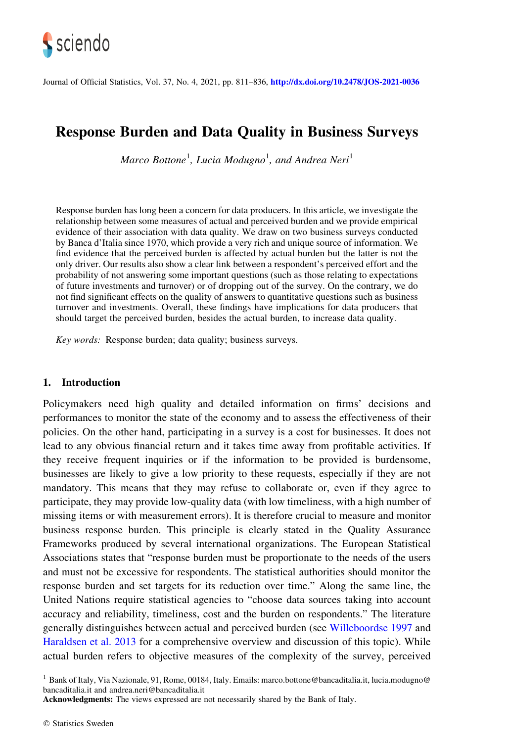

Journal of Official Statistics, Vol. 37, No. 4, 2021, pp. 811–836, <http://dx.doi.org/10.2478/JOS-2021-0036>

# Response Burden and Data Quality in Business Surveys

Marco Bottone<sup>1</sup>, Lucia Modugno<sup>1</sup>, and Andrea Neri<sup>1</sup>

Response burden has long been a concern for data producers. In this article, we investigate the relationship between some measures of actual and perceived burden and we provide empirical evidence of their association with data quality. We draw on two business surveys conducted by Banca d'Italia since 1970, which provide a very rich and unique source of information. We find evidence that the perceived burden is affected by actual burden but the latter is not the only driver. Our results also show a clear link between a respondent's perceived effort and the probability of not answering some important questions (such as those relating to expectations of future investments and turnover) or of dropping out of the survey. On the contrary, we do not find significant effects on the quality of answers to quantitative questions such as business turnover and investments. Overall, these findings have implications for data producers that should target the perceived burden, besides the actual burden, to increase data quality.

Key words: Response burden; data quality; business surveys.

## 1. Introduction

Policymakers need high quality and detailed information on firms' decisions and performances to monitor the state of the economy and to assess the effectiveness of their policies. On the other hand, participating in a survey is a cost for businesses. It does not lead to any obvious financial return and it takes time away from profitable activities. If they receive frequent inquiries or if the information to be provided is burdensome, businesses are likely to give a low priority to these requests, especially if they are not mandatory. This means that they may refuse to collaborate or, even if they agree to participate, they may provide low-quality data (with low timeliness, with a high number of missing items or with measurement errors). It is therefore crucial to measure and monitor business response burden. This principle is clearly stated in the Quality Assurance Frameworks produced by several international organizations. The European Statistical Associations states that "response burden must be proportionate to the needs of the users and must not be excessive for respondents. The statistical authorities should monitor the response burden and set targets for its reduction over time." Along the same line, the United Nations require statistical agencies to "choose data sources taking into account accuracy and reliability, timeliness, cost and the burden on respondents." The literature generally distinguishes between actual and perceived burden (see [Willeboordse 1997](#page-24-0) and [Haraldsen et al. 2013](#page-24-0) for a comprehensive overview and discussion of this topic). While actual burden refers to objective measures of the complexity of the survey, perceived

<sup>1</sup> Bank of Italy, Via Nazionale, 91, Rome, 00184, Italy. Emails: marco.bottone@bancaditalia.it, lucia.modugno@ bancaditalia.it and andrea.neri@bancaditalia.it

Acknowledgments: The views expressed are not necessarily shared by the Bank of Italy.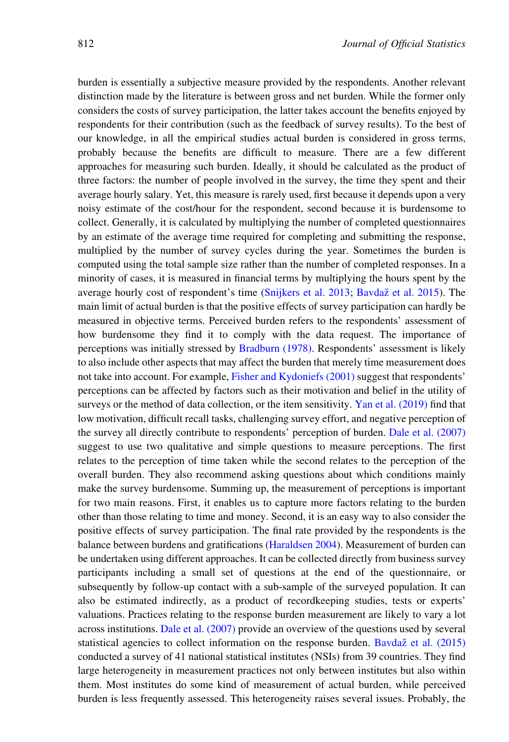burden is essentially a subjective measure provided by the respondents. Another relevant distinction made by the literature is between gross and net burden. While the former only considers the costs of survey participation, the latter takes account the benefits enjoyed by respondents for their contribution (such as the feedback of survey results). To the best of our knowledge, in all the empirical studies actual burden is considered in gross terms, probably because the benefits are difficult to measure. There are a few different approaches for measuring such burden. Ideally, it should be calculated as the product of three factors: the number of people involved in the survey, the time they spent and their average hourly salary. Yet, this measure is rarely used, first because it depends upon a very noisy estimate of the cost/hour for the respondent, second because it is burdensome to collect. Generally, it is calculated by multiplying the number of completed questionnaires by an estimate of the average time required for completing and submitting the response, multiplied by the number of survey cycles during the year. Sometimes the burden is computed using the total sample size rather than the number of completed responses. In a minority of cases, it is measured in financial terms by multiplying the hours spent by the average hourly cost of respondent's time ([Snijkers et al. 2013;](#page-24-0) Bavdaž [et al. 2015](#page-22-0)). The main limit of actual burden is that the positive effects of survey participation can hardly be measured in objective terms. Perceived burden refers to the respondents' assessment of how burdensome they find it to comply with the data request. The importance of perceptions was initially stressed by [Bradburn \(1978\)](#page-23-0). Respondents' assessment is likely to also include other aspects that may affect the burden that merely time measurement does not take into account. For example, [Fisher and Kydoniefs \(2001\)](#page-23-0) suggest that respondents' perceptions can be affected by factors such as their motivation and belief in the utility of surveys or the method of data collection, or the item sensitivity. [Yan et al. \(2019\)](#page-25-0) find that low motivation, difficult recall tasks, challenging survey effort, and negative perception of the survey all directly contribute to respondents' perception of burden. [Dale et al. \(2007\)](#page-23-0) suggest to use two qualitative and simple questions to measure perceptions. The first relates to the perception of time taken while the second relates to the perception of the overall burden. They also recommend asking questions about which conditions mainly make the survey burdensome. Summing up, the measurement of perceptions is important for two main reasons. First, it enables us to capture more factors relating to the burden other than those relating to time and money. Second, it is an easy way to also consider the positive effects of survey participation. The final rate provided by the respondents is the balance between burdens and gratifications ([Haraldsen 2004](#page-23-0)). Measurement of burden can be undertaken using different approaches. It can be collected directly from business survey participants including a small set of questions at the end of the questionnaire, or subsequently by follow-up contact with a sub-sample of the surveyed population. It can also be estimated indirectly, as a product of recordkeeping studies, tests or experts' valuations. Practices relating to the response burden measurement are likely to vary a lot across institutions. [Dale et al. \(2007\)](#page-23-0) provide an overview of the questions used by several statistical agencies to collect information on the response burden. Bavdaž [et al. \(2015\)](#page-22-0) conducted a survey of 41 national statistical institutes (NSIs) from 39 countries. They find large heterogeneity in measurement practices not only between institutes but also within them. Most institutes do some kind of measurement of actual burden, while perceived burden is less frequently assessed. This heterogeneity raises several issues. Probably, the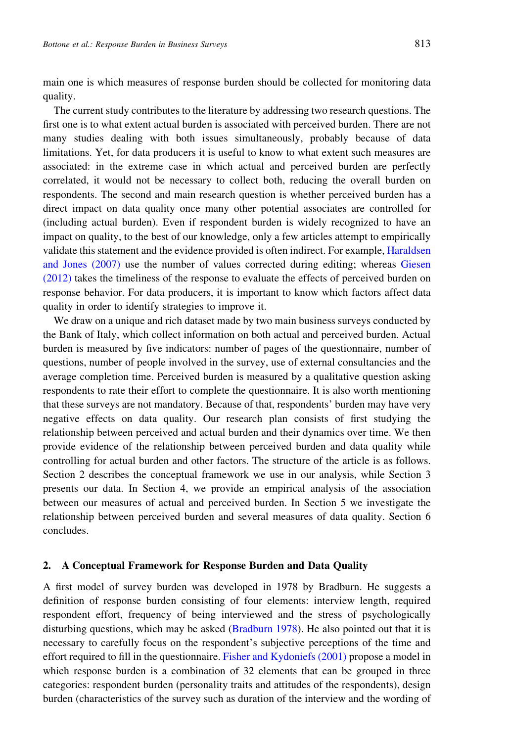main one is which measures of response burden should be collected for monitoring data quality.

The current study contributes to the literature by addressing two research questions. The first one is to what extent actual burden is associated with perceived burden. There are not many studies dealing with both issues simultaneously, probably because of data limitations. Yet, for data producers it is useful to know to what extent such measures are associated: in the extreme case in which actual and perceived burden are perfectly correlated, it would not be necessary to collect both, reducing the overall burden on respondents. The second and main research question is whether perceived burden has a direct impact on data quality once many other potential associates are controlled for (including actual burden). Even if respondent burden is widely recognized to have an impact on quality, to the best of our knowledge, only a few articles attempt to empirically validate this statement and the evidence provided is often indirect. For example, [Haraldsen](#page-24-0) [and Jones \(2007\)](#page-24-0) use the number of values corrected during editing; whereas [Giesen](#page-23-0) [\(2012\)](#page-23-0) takes the timeliness of the response to evaluate the effects of perceived burden on response behavior. For data producers, it is important to know which factors affect data quality in order to identify strategies to improve it.

We draw on a unique and rich dataset made by two main business surveys conducted by the Bank of Italy, which collect information on both actual and perceived burden. Actual burden is measured by five indicators: number of pages of the questionnaire, number of questions, number of people involved in the survey, use of external consultancies and the average completion time. Perceived burden is measured by a qualitative question asking respondents to rate their effort to complete the questionnaire. It is also worth mentioning that these surveys are not mandatory. Because of that, respondents' burden may have very negative effects on data quality. Our research plan consists of first studying the relationship between perceived and actual burden and their dynamics over time. We then provide evidence of the relationship between perceived burden and data quality while controlling for actual burden and other factors. The structure of the article is as follows. Section 2 describes the conceptual framework we use in our analysis, while Section 3 presents our data. In Section 4, we provide an empirical analysis of the association between our measures of actual and perceived burden. In Section 5 we investigate the relationship between perceived burden and several measures of data quality. Section 6 concludes.

#### 2. A Conceptual Framework for Response Burden and Data Quality

A first model of survey burden was developed in 1978 by Bradburn. He suggests a definition of response burden consisting of four elements: interview length, required respondent effort, frequency of being interviewed and the stress of psychologically disturbing questions, which may be asked  $(Bradburn 1978)$  $(Bradburn 1978)$  $(Bradburn 1978)$ . He also pointed out that it is necessary to carefully focus on the respondent's subjective perceptions of the time and effort required to fill in the questionnaire. [Fisher and Kydoniefs \(2001\)](#page-23-0) propose a model in which response burden is a combination of 32 elements that can be grouped in three categories: respondent burden (personality traits and attitudes of the respondents), design burden (characteristics of the survey such as duration of the interview and the wording of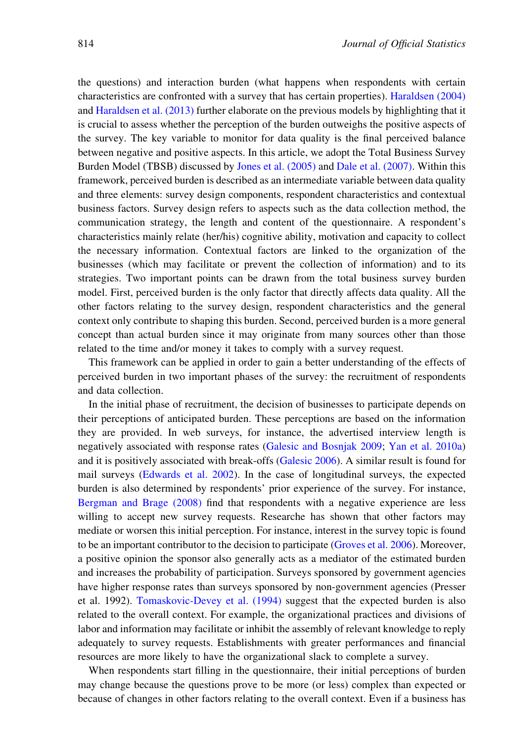the questions) and interaction burden (what happens when respondents with certain characteristics are confronted with a survey that has certain properties). [Haraldsen \(2004\)](#page-23-0) and [Haraldsen et al. \(2013\)](#page-24-0) further elaborate on the previous models by highlighting that it is crucial to assess whether the perception of the burden outweighs the positive aspects of the survey. The key variable to monitor for data quality is the final perceived balance between negative and positive aspects. In this article, we adopt the Total Business Survey Burden Model (TBSB) discussed by [Jones et al. \(2005\)](#page-24-0) and [Dale et al. \(2007\)](#page-23-0). Within this framework, perceived burden is described as an intermediate variable between data quality and three elements: survey design components, respondent characteristics and contextual business factors. Survey design refers to aspects such as the data collection method, the communication strategy, the length and content of the questionnaire. A respondent's characteristics mainly relate (her/his) cognitive ability, motivation and capacity to collect the necessary information. Contextual factors are linked to the organization of the businesses (which may facilitate or prevent the collection of information) and to its strategies. Two important points can be drawn from the total business survey burden model. First, perceived burden is the only factor that directly affects data quality. All the other factors relating to the survey design, respondent characteristics and the general context only contribute to shaping this burden. Second, perceived burden is a more general concept than actual burden since it may originate from many sources other than those related to the time and/or money it takes to comply with a survey request.

This framework can be applied in order to gain a better understanding of the effects of perceived burden in two important phases of the survey: the recruitment of respondents and data collection.

In the initial phase of recruitment, the decision of businesses to participate depends on their perceptions of anticipated burden. These perceptions are based on the information they are provided. In web surveys, for instance, the advertised interview length is negatively associated with response rates [\(Galesic and Bosnjak 2009](#page-23-0); [Yan et al. 2010a](#page-24-0)) and it is positively associated with break-offs ([Galesic 2006](#page-23-0)). A similar result is found for mail surveys ([Edwards et al. 2002](#page-23-0)). In the case of longitudinal surveys, the expected burden is also determined by respondents' prior experience of the survey. For instance, [Bergman and Brage \(2008\)](#page-22-0) find that respondents with a negative experience are less willing to accept new survey requests. Researche has shown that other factors may mediate or worsen this initial perception. For instance, interest in the survey topic is found to be an important contributor to the decision to participate [\(Groves et al. 2006\)](#page-23-0). Moreover, a positive opinion the sponsor also generally acts as a mediator of the estimated burden and increases the probability of participation. Surveys sponsored by government agencies have higher response rates than surveys sponsored by non-government agencies (Presser et al. 1992). [Tomaskovic-Devey et al. \(1994\)](#page-24-0) suggest that the expected burden is also related to the overall context. For example, the organizational practices and divisions of labor and information may facilitate or inhibit the assembly of relevant knowledge to reply adequately to survey requests. Establishments with greater performances and financial resources are more likely to have the organizational slack to complete a survey.

When respondents start filling in the questionnaire, their initial perceptions of burden may change because the questions prove to be more (or less) complex than expected or because of changes in other factors relating to the overall context. Even if a business has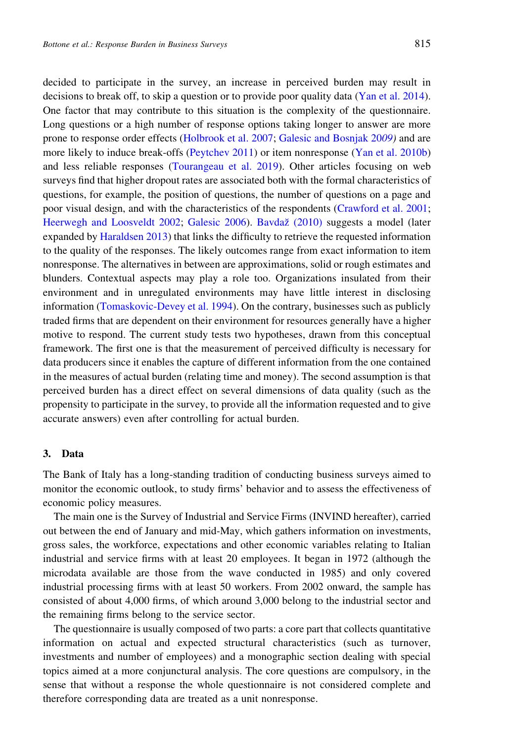decided to participate in the survey, an increase in perceived burden may result in decisions to break off, to skip a question or to provide poor quality data [\(Yan et al. 2014\)](#page-25-0). One factor that may contribute to this situation is the complexity of the questionnaire. Long questions or a high number of response options taking longer to answer are more prone to response order effects [\(Holbrook et al. 2007;](#page-24-0) [Galesic and Bosnjak 20](#page-23-0)09) and are more likely to induce break-offs [\(Peytchev 2011\)](#page-24-0) or item nonresponse [\(Yan et al. 2010b](#page-24-0)) and less reliable responses [\(Tourangeau et al. 2019](#page-24-0)). Other articles focusing on web surveys find that higher dropout rates are associated both with the formal characteristics of questions, for example, the position of questions, the number of questions on a page and poor visual design, and with the characteristics of the respondents ([Crawford et al. 2001;](#page-23-0) [Heerwegh and Loosveldt 2002](#page-24-0); [Galesic 2006\)](#page-23-0). Bavdaž (2010) suggests a model (later expanded by [Haraldsen 2013](#page-23-0)) that links the difficulty to retrieve the requested information to the quality of the responses. The likely outcomes range from exact information to item nonresponse. The alternatives in between are approximations, solid or rough estimates and blunders. Contextual aspects may play a role too. Organizations insulated from their environment and in unregulated environments may have little interest in disclosing information ([Tomaskovic-Devey et al. 1994](#page-24-0)). On the contrary, businesses such as publicly traded firms that are dependent on their environment for resources generally have a higher motive to respond. The current study tests two hypotheses, drawn from this conceptual framework. The first one is that the measurement of perceived difficulty is necessary for data producers since it enables the capture of different information from the one contained in the measures of actual burden (relating time and money). The second assumption is that perceived burden has a direct effect on several dimensions of data quality (such as the propensity to participate in the survey, to provide all the information requested and to give accurate answers) even after controlling for actual burden.

## 3. Data

The Bank of Italy has a long-standing tradition of conducting business surveys aimed to monitor the economic outlook, to study firms' behavior and to assess the effectiveness of economic policy measures.

The main one is the Survey of Industrial and Service Firms (INVIND hereafter), carried out between the end of January and mid-May, which gathers information on investments, gross sales, the workforce, expectations and other economic variables relating to Italian industrial and service firms with at least 20 employees. It began in 1972 (although the microdata available are those from the wave conducted in 1985) and only covered industrial processing firms with at least 50 workers. From 2002 onward, the sample has consisted of about 4,000 firms, of which around 3,000 belong to the industrial sector and the remaining firms belong to the service sector.

The questionnaire is usually composed of two parts: a core part that collects quantitative information on actual and expected structural characteristics (such as turnover, investments and number of employees) and a monographic section dealing with special topics aimed at a more conjunctural analysis. The core questions are compulsory, in the sense that without a response the whole questionnaire is not considered complete and therefore corresponding data are treated as a unit nonresponse.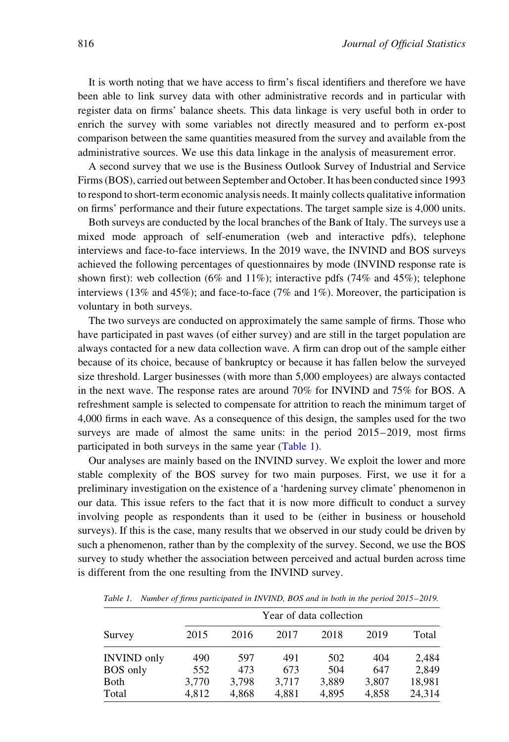It is worth noting that we have access to firm's fiscal identifiers and therefore we have been able to link survey data with other administrative records and in particular with register data on firms' balance sheets. This data linkage is very useful both in order to enrich the survey with some variables not directly measured and to perform ex-post comparison between the same quantities measured from the survey and available from the administrative sources. We use this data linkage in the analysis of measurement error.

A second survey that we use is the Business Outlook Survey of Industrial and Service Firms (BOS), carried out between September and October. It has been conducted since 1993 to respond to short-term economic analysis needs. It mainly collects qualitative information on firms' performance and their future expectations. The target sample size is 4,000 units.

Both surveys are conducted by the local branches of the Bank of Italy. The surveys use a mixed mode approach of self-enumeration (web and interactive pdfs), telephone interviews and face-to-face interviews. In the 2019 wave, the INVIND and BOS surveys achieved the following percentages of questionnaires by mode (INVIND response rate is shown first): web collection (6% and 11%); interactive pdfs (74% and 45%); telephone interviews (13% and 45%); and face-to-face (7% and 1%). Moreover, the participation is voluntary in both surveys.

The two surveys are conducted on approximately the same sample of firms. Those who have participated in past waves (of either survey) and are still in the target population are always contacted for a new data collection wave. A firm can drop out of the sample either because of its choice, because of bankruptcy or because it has fallen below the surveyed size threshold. Larger businesses (with more than 5,000 employees) are always contacted in the next wave. The response rates are around 70% for INVIND and 75% for BOS. A refreshment sample is selected to compensate for attrition to reach the minimum target of 4,000 firms in each wave. As a consequence of this design, the samples used for the two surveys are made of almost the same units: in the period 2015–2019, most firms participated in both surveys in the same year (Table 1).

Our analyses are mainly based on the INVIND survey. We exploit the lower and more stable complexity of the BOS survey for two main purposes. First, we use it for a preliminary investigation on the existence of a 'hardening survey climate' phenomenon in our data. This issue refers to the fact that it is now more difficult to conduct a survey involving people as respondents than it used to be (either in business or household surveys). If this is the case, many results that we observed in our study could be driven by such a phenomenon, rather than by the complexity of the survey. Second, we use the BOS survey to study whether the association between perceived and actual burden across time is different from the one resulting from the INVIND survey.

| Survey             |       | Year of data collection |       |       |       |        |  |
|--------------------|-------|-------------------------|-------|-------|-------|--------|--|
|                    | 2015  | 2016                    | 2017  | 2018  | 2019  | Total  |  |
| <b>INVIND</b> only | 490   | 597                     | 491   | 502   | 404   | 2,484  |  |
| <b>BOS</b> only    | 552   | 473                     | 673   | 504   | 647   | 2.849  |  |
| <b>Both</b>        | 3,770 | 3.798                   | 3.717 | 3,889 | 3,807 | 18,981 |  |
| Total              | 4,812 | 4,868                   | 4,881 | 4,895 | 4,858 | 24,314 |  |

Table 1. Number of firms participated in INVIND, BOS and in both in the period 2015–2019.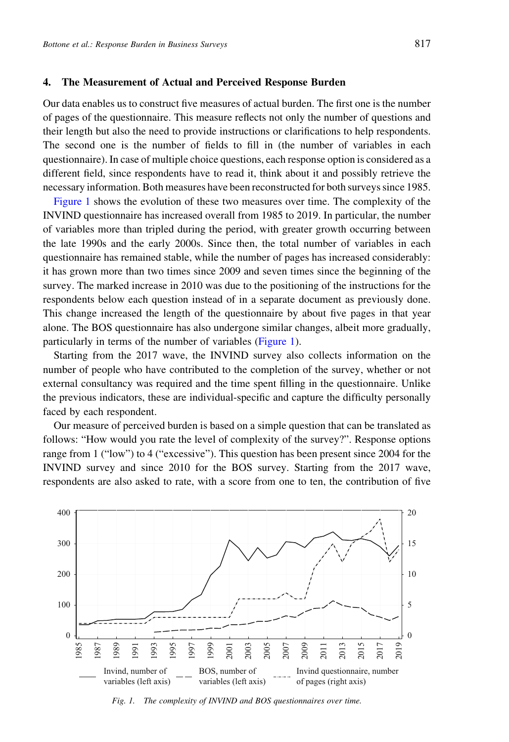## 4. The Measurement of Actual and Perceived Response Burden

Our data enables us to construct five measures of actual burden. The first one is the number of pages of the questionnaire. This measure reflects not only the number of questions and their length but also the need to provide instructions or clarifications to help respondents. The second one is the number of fields to fill in (the number of variables in each questionnaire). In case of multiple choice questions, each response option is considered as a different field, since respondents have to read it, think about it and possibly retrieve the necessary information. Both measures have been reconstructed for both surveys since 1985.

Figure 1 shows the evolution of these two measures over time. The complexity of the INVIND questionnaire has increased overall from 1985 to 2019. In particular, the number of variables more than tripled during the period, with greater growth occurring between the late 1990s and the early 2000s. Since then, the total number of variables in each questionnaire has remained stable, while the number of pages has increased considerably: it has grown more than two times since 2009 and seven times since the beginning of the survey. The marked increase in 2010 was due to the positioning of the instructions for the respondents below each question instead of in a separate document as previously done. This change increased the length of the questionnaire by about five pages in that year alone. The BOS questionnaire has also undergone similar changes, albeit more gradually, particularly in terms of the number of variables (Figure 1).

Starting from the 2017 wave, the INVIND survey also collects information on the number of people who have contributed to the completion of the survey, whether or not external consultancy was required and the time spent filling in the questionnaire. Unlike the previous indicators, these are individual-specific and capture the difficulty personally faced by each respondent.

Our measure of perceived burden is based on a simple question that can be translated as follows: "How would you rate the level of complexity of the survey?". Response options range from 1 ("low") to 4 ("excessive"). This question has been present since 2004 for the INVIND survey and since 2010 for the BOS survey. Starting from the 2017 wave, respondents are also asked to rate, with a score from one to ten, the contribution of five



Fig. 1. The complexity of INVIND and BOS questionnaires over time.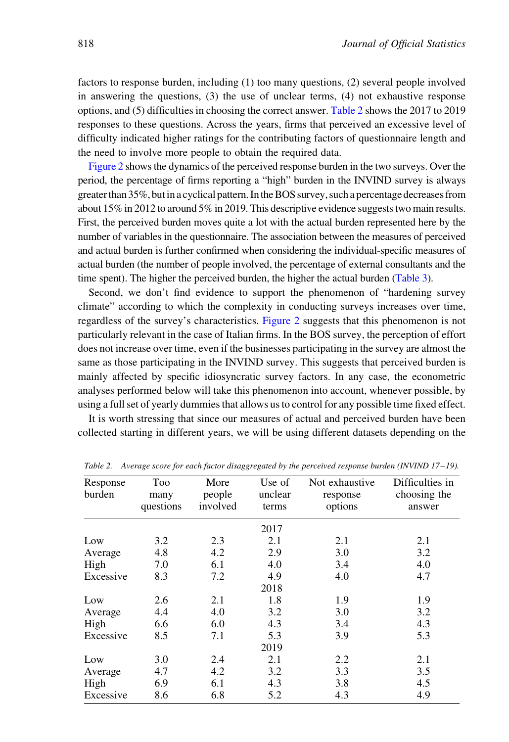factors to response burden, including (1) too many questions, (2) several people involved in answering the questions, (3) the use of unclear terms, (4) not exhaustive response options, and (5) difficulties in choosing the correct answer. Table 2 shows the 2017 to 2019 responses to these questions. Across the years, firms that perceived an excessive level of difficulty indicated higher ratings for the contributing factors of questionnaire length and the need to involve more people to obtain the required data.

[Figure 2](#page-8-0) shows the dynamics of the perceived response burden in the two surveys. Over the period, the percentage of firms reporting a "high" burden in the INVIND survey is always greaterthan35%, butin a cyclical pattern. In the BOS survey, such a percentagedecreases from about 15% in 2012 to around 5% in 2019. This descriptive evidence suggests two main results. First, the perceived burden moves quite a lot with the actual burden represented here by the number of variables in the questionnaire. The association between the measures of perceived and actual burden is further confirmed when considering the individual-specific measures of actual burden (the number of people involved, the percentage of external consultants and the time spent). The higher the perceived burden, the higher the actual burden ([Table 3](#page-8-0)).

Second, we don't find evidence to support the phenomenon of "hardening survey climate" according to which the complexity in conducting surveys increases over time, regardless of the survey's characteristics. [Figure 2](#page-8-0) suggests that this phenomenon is not particularly relevant in the case of Italian firms. In the BOS survey, the perception of effort does not increase over time, even if the businesses participating in the survey are almost the same as those participating in the INVIND survey. This suggests that perceived burden is mainly affected by specific idiosyncratic survey factors. In any case, the econometric analyses performed below will take this phenomenon into account, whenever possible, by using a full set of yearly dummies that allows us to control for any possible time fixed effect.

It is worth stressing that since our measures of actual and perceived burden have been collected starting in different years, we will be using different datasets depending on the

| Response<br>burden | Too<br>many<br>questions | More<br>people<br>involved | Use of<br>unclear<br>terms | Not exhaustive<br>response<br>options | Difficulties in<br>choosing the<br>answer |
|--------------------|--------------------------|----------------------------|----------------------------|---------------------------------------|-------------------------------------------|
|                    |                          |                            | 2017                       |                                       |                                           |
| Low                | 3.2                      | 2.3                        | 2.1                        | 2.1                                   | 2.1                                       |
| Average            | 4.8                      | 4.2                        | 2.9                        | 3.0                                   | 3.2                                       |
| High               | 7.0                      | 6.1                        | 4.0                        | 3.4                                   | 4.0                                       |
| Excessive          | 8.3                      | 7.2                        | 4.9                        | 4.0                                   | 4.7                                       |
|                    |                          |                            | 2018                       |                                       |                                           |
| Low                | 2.6                      | 2.1                        | 1.8                        | 1.9                                   | 1.9                                       |
| Average            | 4.4                      | 4.0                        | 3.2                        | 3.0                                   | 3.2                                       |
| High               | 6.6                      | 6.0                        | 4.3                        | 3.4                                   | 4.3                                       |
| Excessive          | 8.5                      | 7.1                        | 5.3                        | 3.9                                   | 5.3                                       |
|                    |                          |                            | 2019                       |                                       |                                           |
| Low                | 3.0                      | 2.4                        | 2.1                        | 2.2                                   | 2.1                                       |
| Average            | 4.7                      | 4.2                        | 3.2                        | 3.3                                   | 3.5                                       |
| High               | 6.9                      | 6.1                        | 4.3                        | 3.8                                   | 4.5                                       |
| Excessive          | 8.6                      | 6.8                        | 5.2                        | 4.3                                   | 4.9                                       |

Table 2. Average score for each factor disaggregated by the perceived response burden (INVIND 17–19).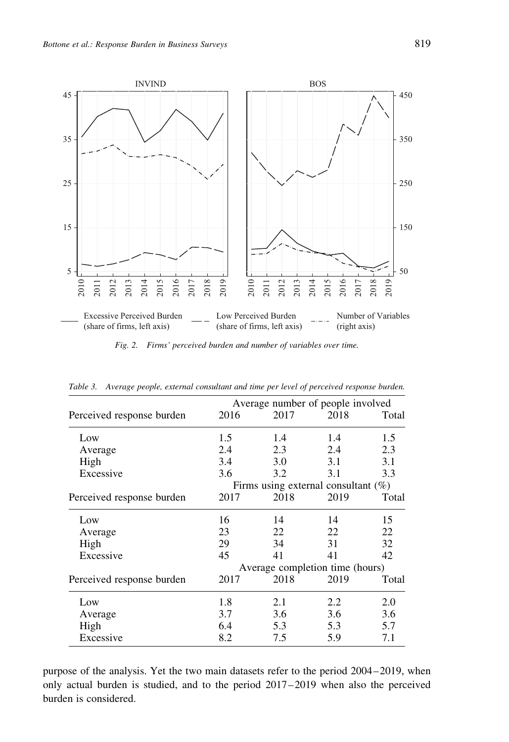<span id="page-8-0"></span>

Fig. 2. Firms' perceived burden and number of variables over time.

| 2016                            | 2017 | 2018 | Total                                                                       |  |
|---------------------------------|------|------|-----------------------------------------------------------------------------|--|
| 1.5                             | 1.4  | 1.4  | 1.5                                                                         |  |
| 2.4                             | 2.3  | 2.4  | 2.3                                                                         |  |
| 3.4                             | 3.0  | 3.1  | 3.1                                                                         |  |
| 3.6                             | 3.2  | 3.1  | 3.3                                                                         |  |
|                                 |      |      |                                                                             |  |
| 2017                            | 2018 | 2019 | Total                                                                       |  |
| 16                              | 14   | 14   | 15                                                                          |  |
| 23                              | 22   | 22   | 22                                                                          |  |
| 29                              | 34   | 31   | 32                                                                          |  |
| 45                              | 41   | 41   | 42                                                                          |  |
| Average completion time (hours) |      |      |                                                                             |  |
| 2017                            | 2018 | 2019 | Total                                                                       |  |
| 1.8                             | 2.1  | 2.2  | 2.0                                                                         |  |
| 3.7                             | 3.6  | 3.6  | 3.6                                                                         |  |
| 6.4                             | 5.3  | 5.3  | 5.7                                                                         |  |
| 8.2                             | 7.5  | 5.9  | 7.1                                                                         |  |
|                                 |      |      | Average number of people involved<br>Firms using external consultant $(\%)$ |  |

Table 3. Average people, external consultant and time per level of perceived response burden.

purpose of the analysis. Yet the two main datasets refer to the period 2004–2019, when only actual burden is studied, and to the period 2017–2019 when also the perceived burden is considered.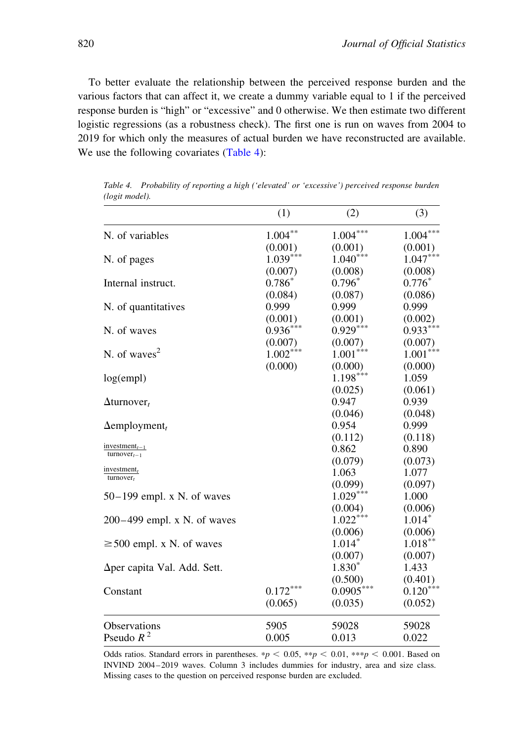<span id="page-9-0"></span>To better evaluate the relationship between the perceived response burden and the various factors that can affect it, we create a dummy variable equal to 1 if the perceived response burden is "high" or "excessive" and 0 otherwise. We then estimate two different logistic regressions (as a robustness check). The first one is run on waves from 2004 to 2019 for which only the measures of actual burden we have reconstructed are available. We use the following covariates (Table 4):

|                                                            | (1)        | (2)         | (3)        |
|------------------------------------------------------------|------------|-------------|------------|
| N. of variables                                            | $1.004***$ | $1.004***$  | $1.004***$ |
|                                                            | (0.001)    | (0.001)     | (0.001)    |
| N. of pages                                                | $1.039***$ | $1.040***$  | $1.047***$ |
|                                                            | (0.007)    | (0.008)     | (0.008)    |
| Internal instruct.                                         | $0.786*$   | $0.796*$    | $0.776*$   |
|                                                            | (0.084)    | (0.087)     | (0.086)    |
| N. of quantitatives                                        | 0.999      | 0.999       | 0.999      |
|                                                            | (0.001)    | (0.001)     | (0.002)    |
| N. of waves                                                | $0.936***$ | $0.929***$  | $0.933***$ |
|                                                            | (0.007)    | (0.007)     | (0.007)    |
| N. of waves <sup>2</sup>                                   | $1.002***$ | $1.001***$  | $1.001***$ |
|                                                            | (0.000)    | (0.000)     | (0.000)    |
| log(empl)                                                  |            | $1.198***$  | 1.059      |
|                                                            |            | (0.025)     | (0.061)    |
| $\Delta$ turnover,                                         |            | 0.947       | 0.939      |
|                                                            |            | (0.046)     | (0.048)    |
| $\Delta$ employment <sub>t</sub>                           |            | 0.954       | 0.999      |
|                                                            |            | (0.112)     | (0.118)    |
| investment <sub><math>t-1</math></sub><br>$turnover_{t-1}$ |            | 0.862       | 0.890      |
|                                                            |            | (0.079)     | (0.073)    |
| investment $t$<br>$turnover_t$                             |            | 1.063       | 1.077      |
|                                                            |            | (0.099)     | (0.097)    |
| $50-199$ empl. x N. of waves                               |            | $1.029***$  | 1.000      |
|                                                            |            | (0.004)     | (0.006)    |
| $200-499$ empl. x N. of waves                              |            | $1.022***$  | $1.014*$   |
|                                                            |            | (0.006)     | (0.006)    |
| $\geq$ 500 empl. x N. of waves                             |            | $1.014*$    | $1.018***$ |
|                                                            |            | (0.007)     | (0.007)    |
| $\Delta$ per capita Val. Add. Sett.                        |            | $1.830*$    | 1.433      |
|                                                            |            | (0.500)     | (0.401)    |
| Constant                                                   | $0.172***$ | $0.0905***$ | $0.120***$ |
|                                                            | (0.065)    | (0.035)     | (0.052)    |
| Observations                                               | 5905       | 59028       | 59028      |
| Pseudo $R^2$                                               | 0.005      | 0.013       | 0.022      |

Table 4. Probability of reporting a high ('elevated' or 'excessive') perceived response burden (logit model).

Odds ratios. Standard errors in parentheses. \*  $p < 0.05$ , \* \* p < 0.01, \* \* \* p < 0.001. Based on INVIND 2004–2019 waves. Column 3 includes dummies for industry, area and size class. Missing cases to the question on perceived response burden are excluded.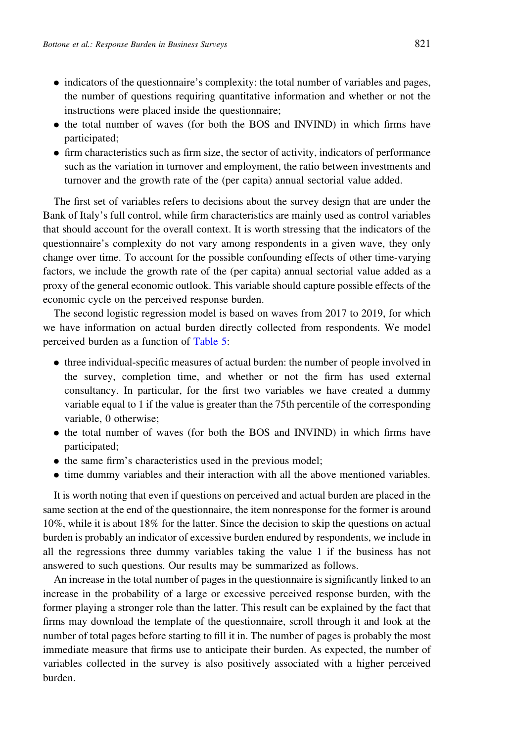- . indicators of the questionnaire's complexity: the total number of variables and pages, the number of questions requiring quantitative information and whether or not the instructions were placed inside the questionnaire;
- the total number of waves (for both the BOS and INVIND) in which firms have participated;
- . firm characteristics such as firm size, the sector of activity, indicators of performance such as the variation in turnover and employment, the ratio between investments and turnover and the growth rate of the (per capita) annual sectorial value added.

The first set of variables refers to decisions about the survey design that are under the Bank of Italy's full control, while firm characteristics are mainly used as control variables that should account for the overall context. It is worth stressing that the indicators of the questionnaire's complexity do not vary among respondents in a given wave, they only change over time. To account for the possible confounding effects of other time-varying factors, we include the growth rate of the (per capita) annual sectorial value added as a proxy of the general economic outlook. This variable should capture possible effects of the economic cycle on the perceived response burden.

The second logistic regression model is based on waves from 2017 to 2019, for which we have information on actual burden directly collected from respondents. We model perceived burden as a function of [Table 5:](#page-11-0)

- . three individual-specific measures of actual burden: the number of people involved in the survey, completion time, and whether or not the firm has used external consultancy. In particular, for the first two variables we have created a dummy variable equal to 1 if the value is greater than the 75th percentile of the corresponding variable, 0 otherwise;
- . the total number of waves (for both the BOS and INVIND) in which firms have participated;
- . the same firm's characteristics used in the previous model;
- . time dummy variables and their interaction with all the above mentioned variables.

It is worth noting that even if questions on perceived and actual burden are placed in the same section at the end of the questionnaire, the item nonresponse for the former is around 10%, while it is about 18% for the latter. Since the decision to skip the questions on actual burden is probably an indicator of excessive burden endured by respondents, we include in all the regressions three dummy variables taking the value 1 if the business has not answered to such questions. Our results may be summarized as follows.

An increase in the total number of pages in the questionnaire is significantly linked to an increase in the probability of a large or excessive perceived response burden, with the former playing a stronger role than the latter. This result can be explained by the fact that firms may download the template of the questionnaire, scroll through it and look at the number of total pages before starting to fill it in. The number of pages is probably the most immediate measure that firms use to anticipate their burden. As expected, the number of variables collected in the survey is also positively associated with a higher perceived burden.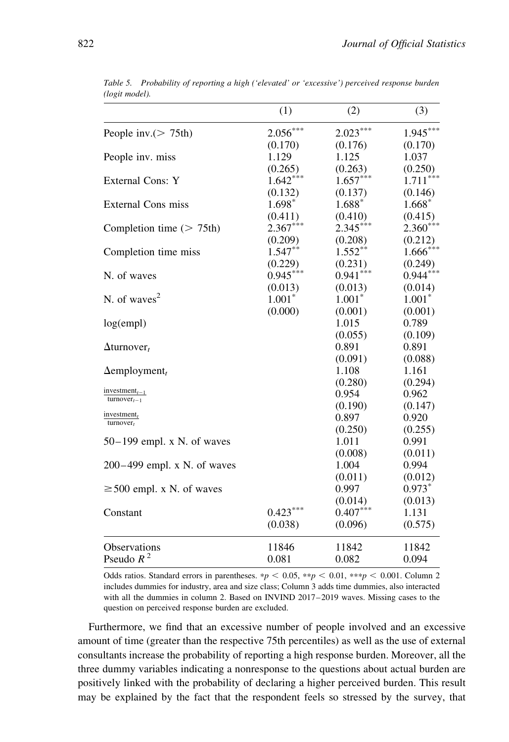|                                         | (1)        | (2)        | (3)        |
|-----------------------------------------|------------|------------|------------|
| People inv. $(> 75th)$                  | $2.056***$ | $2.023***$ | $1.945***$ |
|                                         | (0.170)    | (0.176)    | (0.170)    |
| People inv. miss                        | 1.129      | 1.125      | 1.037      |
|                                         | (0.265)    | (0.263)    | (0.250)    |
| External Cons: Y                        | $1.642***$ | $1.657***$ | $1.711***$ |
|                                         | (0.132)    | (0.137)    | (0.146)    |
| <b>External Cons miss</b>               | $1.698*$   | $1.688*$   | $1.668*$   |
|                                         | (0.411)    | (0.410)    | (0.415)    |
| Completion time $($ > 75th)             | $2.367***$ | $2.345***$ | $2.360***$ |
|                                         | (0.209)    | (0.208)    | (0.212)    |
| Completion time miss                    | $1.547***$ | $1.552***$ | $1.666***$ |
|                                         | (0.229)    | (0.231)    | (0.249)    |
| N. of waves                             | $0.945***$ | $0.941***$ | $0.944***$ |
|                                         | (0.013)    | (0.013)    | (0.014)    |
| N. of waves <sup>2</sup>                | $1.001^*$  | $1.001*$   | $1.001*$   |
|                                         | (0.000)    | (0.001)    | (0.001)    |
| log(empl)                               |            | 1.015      | 0.789      |
|                                         |            | (0.055)    | (0.109)    |
| $\Delta$ turnover <sub>t</sub>          |            | 0.891      | 0.891      |
|                                         |            | (0.091)    | (0.088)    |
| $\Delta$ employment <sub>t</sub>        |            | 1.108      | 1.161      |
|                                         |            | (0.280)    | (0.294)    |
| investment $_{t-1}$<br>$turnover_{t-1}$ |            | 0.954      | 0.962      |
|                                         |            | (0.190)    | (0.147)    |
| investment $t$<br>$turnover_t$          |            | 0.897      | 0.920      |
|                                         |            | (0.250)    | (0.255)    |
| $50-199$ empl. x N. of waves            |            | 1.011      | 0.991      |
|                                         |            | (0.008)    | (0.011)    |
| $200-499$ empl. x N. of waves           |            | 1.004      | 0.994      |
|                                         |            | (0.011)    | (0.012)    |
| $\geq$ 500 empl. x N. of waves          |            | 0.997      | $0.973*$   |
|                                         |            | (0.014)    | (0.013)    |
| Constant                                | $0.423***$ | $0.407***$ | 1.131      |
|                                         | (0.038)    | (0.096)    | (0.575)    |
| <b>Observations</b>                     | 11846      | 11842      | 11842      |
| Pseudo $R^2$                            | 0.081      | 0.082      | 0.094      |

<span id="page-11-0"></span>Table 5. Probability of reporting a high ('elevated' or 'excessive') perceived response burden (logit model).

Odds ratios. Standard errors in parentheses. \*p < 0.05, \*\*p < 0.01, \*\*\*p < 0.001. Column 2 includes dummies for industry, area and size class; Column 3 adds time dummies, also interacted with all the dummies in column 2. Based on INVIND 2017–2019 waves. Missing cases to the question on perceived response burden are excluded.

Furthermore, we find that an excessive number of people involved and an excessive amount of time (greater than the respective 75th percentiles) as well as the use of external consultants increase the probability of reporting a high response burden. Moreover, all the three dummy variables indicating a nonresponse to the questions about actual burden are positively linked with the probability of declaring a higher perceived burden. This result may be explained by the fact that the respondent feels so stressed by the survey, that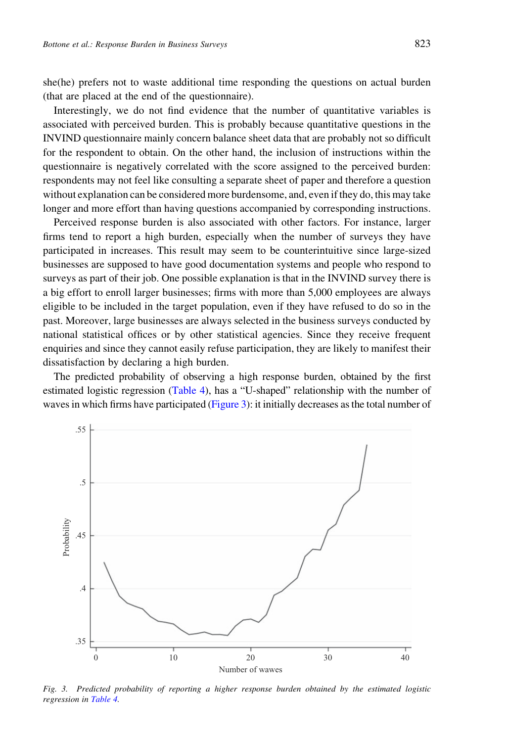<span id="page-12-0"></span>she(he) prefers not to waste additional time responding the questions on actual burden (that are placed at the end of the questionnaire).

Interestingly, we do not find evidence that the number of quantitative variables is associated with perceived burden. This is probably because quantitative questions in the INVIND questionnaire mainly concern balance sheet data that are probably not so difficult for the respondent to obtain. On the other hand, the inclusion of instructions within the questionnaire is negatively correlated with the score assigned to the perceived burden: respondents may not feel like consulting a separate sheet of paper and therefore a question without explanation can be considered more burdensome, and, even if they do, this may take longer and more effort than having questions accompanied by corresponding instructions.

Perceived response burden is also associated with other factors. For instance, larger firms tend to report a high burden, especially when the number of surveys they have participated in increases. This result may seem to be counterintuitive since large-sized businesses are supposed to have good documentation systems and people who respond to surveys as part of their job. One possible explanation is that in the INVIND survey there is a big effort to enroll larger businesses; firms with more than 5,000 employees are always eligible to be included in the target population, even if they have refused to do so in the past. Moreover, large businesses are always selected in the business surveys conducted by national statistical offices or by other statistical agencies. Since they receive frequent enquiries and since they cannot easily refuse participation, they are likely to manifest their dissatisfaction by declaring a high burden.

The predicted probability of observing a high response burden, obtained by the first estimated logistic regression [\(Table 4\)](#page-9-0), has a "U-shaped" relationship with the number of waves in which firms have participated (Figure 3): it initially decreases as the total number of



Fig. 3. Predicted probability of reporting a higher response burden obtained by the estimated logistic regression in [Table 4.](#page-9-0)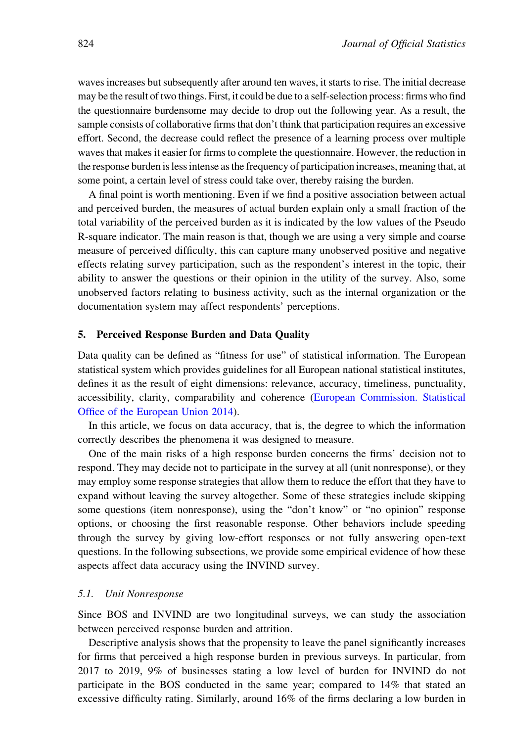waves increases but subsequently after around ten waves, it starts to rise. The initial decrease may be the result of two things. First, it could be due to a self-selection process: firms who find the questionnaire burdensome may decide to drop out the following year. As a result, the sample consists of collaborative firms that don't think that participation requires an excessive effort. Second, the decrease could reflect the presence of a learning process over multiple waves that makes it easier for firms to complete the questionnaire. However, the reduction in the response burden is less intense as the frequency of participation increases, meaning that, at some point, a certain level of stress could take over, thereby raising the burden.

A final point is worth mentioning. Even if we find a positive association between actual and perceived burden, the measures of actual burden explain only a small fraction of the total variability of the perceived burden as it is indicated by the low values of the Pseudo R-square indicator. The main reason is that, though we are using a very simple and coarse measure of perceived difficulty, this can capture many unobserved positive and negative effects relating survey participation, such as the respondent's interest in the topic, their ability to answer the questions or their opinion in the utility of the survey. Also, some unobserved factors relating to business activity, such as the internal organization or the documentation system may affect respondents' perceptions.

## 5. Perceived Response Burden and Data Quality

Data quality can be defined as "fitness for use" of statistical information. The European statistical system which provides guidelines for all European national statistical institutes, defines it as the result of eight dimensions: relevance, accuracy, timeliness, punctuality, accessibility, clarity, comparability and coherence [\(European Commission. Statistical](#page-23-0) [Office of the European Union 2014\)](#page-23-0).

In this article, we focus on data accuracy, that is, the degree to which the information correctly describes the phenomena it was designed to measure.

One of the main risks of a high response burden concerns the firms' decision not to respond. They may decide not to participate in the survey at all (unit nonresponse), or they may employ some response strategies that allow them to reduce the effort that they have to expand without leaving the survey altogether. Some of these strategies include skipping some questions (item nonresponse), using the "don't know" or "no opinion" response options, or choosing the first reasonable response. Other behaviors include speeding through the survey by giving low-effort responses or not fully answering open-text questions. In the following subsections, we provide some empirical evidence of how these aspects affect data accuracy using the INVIND survey.

#### 5.1. Unit Nonresponse

Since BOS and INVIND are two longitudinal surveys, we can study the association between perceived response burden and attrition.

Descriptive analysis shows that the propensity to leave the panel significantly increases for firms that perceived a high response burden in previous surveys. In particular, from 2017 to 2019, 9% of businesses stating a low level of burden for INVIND do not participate in the BOS conducted in the same year; compared to 14% that stated an excessive difficulty rating. Similarly, around 16% of the firms declaring a low burden in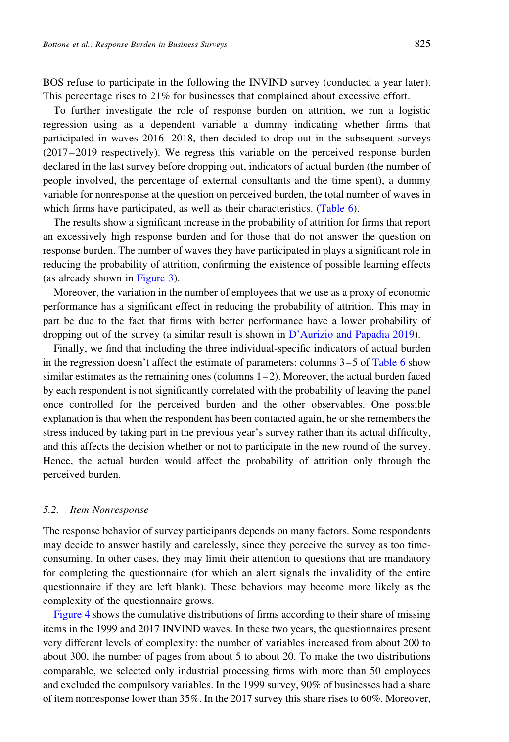BOS refuse to participate in the following the INVIND survey (conducted a year later). This percentage rises to 21% for businesses that complained about excessive effort.

To further investigate the role of response burden on attrition, we run a logistic regression using as a dependent variable a dummy indicating whether firms that participated in waves 2016–2018, then decided to drop out in the subsequent surveys (2017–2019 respectively). We regress this variable on the perceived response burden declared in the last survey before dropping out, indicators of actual burden (the number of people involved, the percentage of external consultants and the time spent), a dummy variable for nonresponse at the question on perceived burden, the total number of waves in which firms have participated, as well as their characteristics. ([Table 6\)](#page-15-0).

The results show a significant increase in the probability of attrition for firms that report an excessively high response burden and for those that do not answer the question on response burden. The number of waves they have participated in plays a significant role in reducing the probability of attrition, confirming the existence of possible learning effects (as already shown in [Figure 3\)](#page-12-0).

Moreover, the variation in the number of employees that we use as a proxy of economic performance has a significant effect in reducing the probability of attrition. This may in part be due to the fact that firms with better performance have a lower probability of dropping out of the survey (a similar result is shown in [D'Aurizio and Papadia 2019](#page-23-0)).

Finally, we find that including the three individual-specific indicators of actual burden in the regression doesn't affect the estimate of parameters: columns  $3-5$  of [Table 6](#page-15-0) show similar estimates as the remaining ones (columns  $1-2$ ). Moreover, the actual burden faced by each respondent is not significantly correlated with the probability of leaving the panel once controlled for the perceived burden and the other observables. One possible explanation is that when the respondent has been contacted again, he or she remembers the stress induced by taking part in the previous year's survey rather than its actual difficulty, and this affects the decision whether or not to participate in the new round of the survey. Hence, the actual burden would affect the probability of attrition only through the perceived burden.

#### 5.2. Item Nonresponse

The response behavior of survey participants depends on many factors. Some respondents may decide to answer hastily and carelessly, since they perceive the survey as too timeconsuming. In other cases, they may limit their attention to questions that are mandatory for completing the questionnaire (for which an alert signals the invalidity of the entire questionnaire if they are left blank). These behaviors may become more likely as the complexity of the questionnaire grows.

[Figure 4](#page-16-0) shows the cumulative distributions of firms according to their share of missing items in the 1999 and 2017 INVIND waves. In these two years, the questionnaires present very different levels of complexity: the number of variables increased from about 200 to about 300, the number of pages from about 5 to about 20. To make the two distributions comparable, we selected only industrial processing firms with more than 50 employees and excluded the compulsory variables. In the 1999 survey, 90% of businesses had a share of item nonresponse lower than 35%. In the 2017 survey this share rises to 60%. Moreover,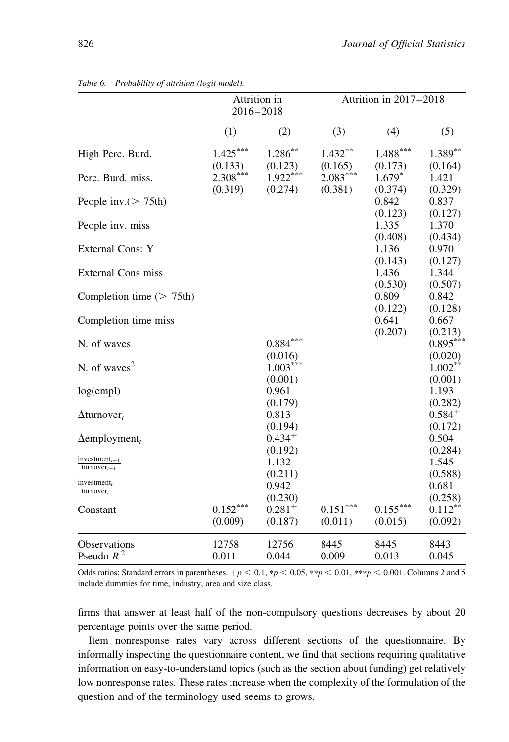|                                                            | Attrition in<br>$2016 - 2018$ |                        | Attrition in 2017-2018 |                       |                        |
|------------------------------------------------------------|-------------------------------|------------------------|------------------------|-----------------------|------------------------|
|                                                            | (1)                           | (2)                    | (3)                    | (4)                   | (5)                    |
| High Perc. Burd.                                           | $1.425***$<br>(0.133)         | $1.286***$<br>(0.123)  | $1.432***$<br>(0.165)  | $1.488***$<br>(0.173) | $1.389**$<br>(0.164)   |
| Perc. Burd. miss.                                          | $2.308***$<br>(0.319)         | $1.922***$<br>(0.274)  | $2.083***$<br>(0.381)  | $1.679*$<br>(0.374)   | 1.421<br>(0.329)       |
| People inv. $(> 75th)$                                     |                               |                        |                        | 0.842<br>(0.123)      | 0.837<br>(0.127)       |
| People inv. miss                                           |                               |                        |                        | 1.335<br>(0.408)      | 1.370<br>(0.434)       |
| External Cons: Y                                           |                               |                        |                        | 1.136<br>(0.143)      | 0.970<br>(0.127)       |
| <b>External Cons miss</b>                                  |                               |                        |                        | 1.436<br>(0.530)      | 1.344<br>(0.507)       |
| Completion time $($ > 75th)                                |                               |                        |                        | 0.809<br>(0.122)      | 0.842<br>(0.128)       |
| Completion time miss                                       |                               |                        |                        | 0.641<br>(0.207)      | 0.667<br>(0.213)       |
| N. of waves                                                |                               | $0.884***$<br>(0.016)  |                        |                       | $0.895***$<br>(0.020)  |
| N. of waves $2$                                            |                               | $1.003***$<br>(0.001)  |                        |                       | $1.002**$<br>(0.001)   |
| log(empl)                                                  |                               | 0.961<br>(0.179)       |                        |                       | 1.193<br>(0.282)       |
| $\Delta$ turnover <sub>t</sub>                             |                               | 0.813<br>(0.194)       |                        |                       | $0.584^{+}$<br>(0.172) |
| $\Delta$ employment <sub>t</sub>                           |                               | $0.434^{+}$<br>(0.192) |                        |                       | 0.504<br>(0.284)       |
| investment <sub><math>t-1</math></sub><br>$turnover_{t-1}$ |                               | 1.132<br>(0.211)       |                        |                       | 1.545<br>(0.588)       |
| $investment_t$<br>$turnover_t$                             |                               | 0.942<br>(0.230)       |                        |                       | 0.681<br>(0.258)       |
| Constant                                                   | $0.152***$<br>(0.009)         | $0.281^{+}$<br>(0.187) | $0.151***$<br>(0.011)  | $0.155***$<br>(0.015) | $0.112***$<br>(0.092)  |
| <b>Observations</b><br>Pseudo $R^2$                        | 12758<br>0.011                | 12756<br>0.044         | 8445<br>0.009          | 8445<br>0.013         | 8443<br>0.045          |

<span id="page-15-0"></span>Table 6. Probability of attrition (logit model).

Odds ratios; Standard errors in parentheses.  $+p < 0.1$ ,  $*p < 0.05$ ,  $**p < 0.01$ ,  $***p < 0.001$ . Columns 2 and 5 include dummies for time, industry, area and size class.

firms that answer at least half of the non-compulsory questions decreases by about 20 percentage points over the same period.

Item nonresponse rates vary across different sections of the questionnaire. By informally inspecting the questionnaire content, we find that sections requiring qualitative information on easy-to-understand topics (such as the section about funding) get relatively low nonresponse rates. These rates increase when the complexity of the formulation of the question and of the terminology used seems to grows.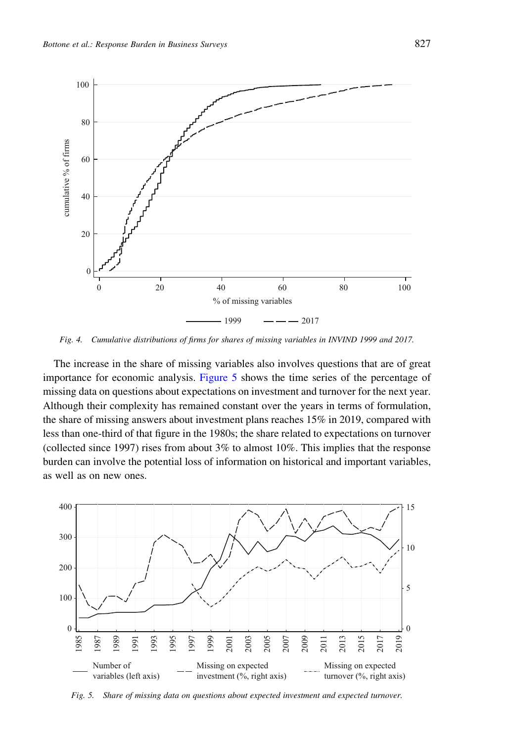<span id="page-16-0"></span>

Fig. 4. Cumulative distributions of firms for shares of missing variables in INVIND 1999 and 2017.

The increase in the share of missing variables also involves questions that are of great importance for economic analysis. Figure 5 shows the time series of the percentage of missing data on questions about expectations on investment and turnover for the next year. Although their complexity has remained constant over the years in terms of formulation, the share of missing answers about investment plans reaches 15% in 2019, compared with less than one-third of that figure in the 1980s; the share related to expectations on turnover (collected since 1997) rises from about 3% to almost 10%. This implies that the response burden can involve the potential loss of information on historical and important variables, as well as on new ones.



Fig. 5. Share of missing data on questions about expected investment and expected turnover.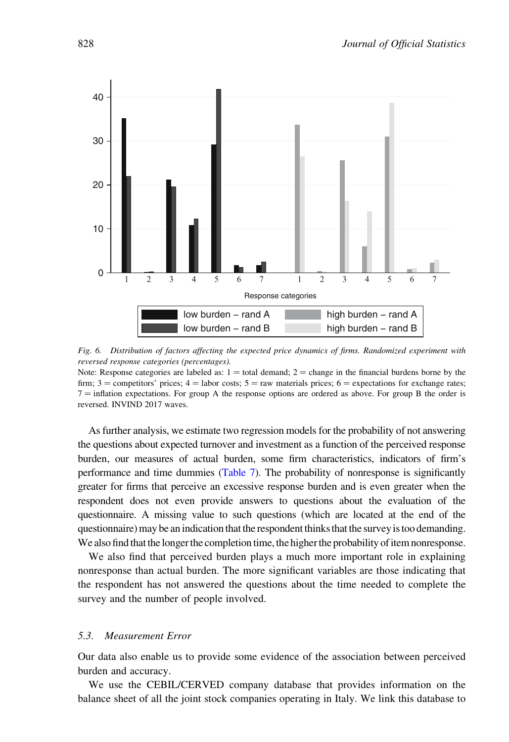

Fig. 6. Distribution of factors affecting the expected price dynamics of firms. Randomized experiment with reversed response categories (percentages).

Note: Response categories are labeled as:  $1 =$  total demand;  $2 =$  change in the financial burdens borne by the firm;  $3 =$  competitors' prices;  $4 =$  labor costs;  $5 =$  raw materials prices;  $6 =$  expectations for exchange rates;  $7 =$  inflation expectations. For group A the response options are ordered as above. For group B the order is reversed. INVIND 2017 waves.

As further analysis, we estimate two regression models for the probability of not answering the questions about expected turnover and investment as a function of the perceived response burden, our measures of actual burden, some firm characteristics, indicators of firm's performance and time dummies [\(Table 7\)](#page-18-0). The probability of nonresponse is significantly greater for firms that perceive an excessive response burden and is even greater when the respondent does not even provide answers to questions about the evaluation of the questionnaire. A missing value to such questions (which are located at the end of the questionnaire) may be an indication that the respondent thinks that the survey is too demanding. We also find that the longer the completion time, the higher the probability of item nonresponse.

We also find that perceived burden plays a much more important role in explaining nonresponse than actual burden. The more significant variables are those indicating that the respondent has not answered the questions about the time needed to complete the survey and the number of people involved.

## 5.3. Measurement Error

Our data also enable us to provide some evidence of the association between perceived burden and accuracy.

We use the CEBIL/CERVED company database that provides information on the balance sheet of all the joint stock companies operating in Italy. We link this database to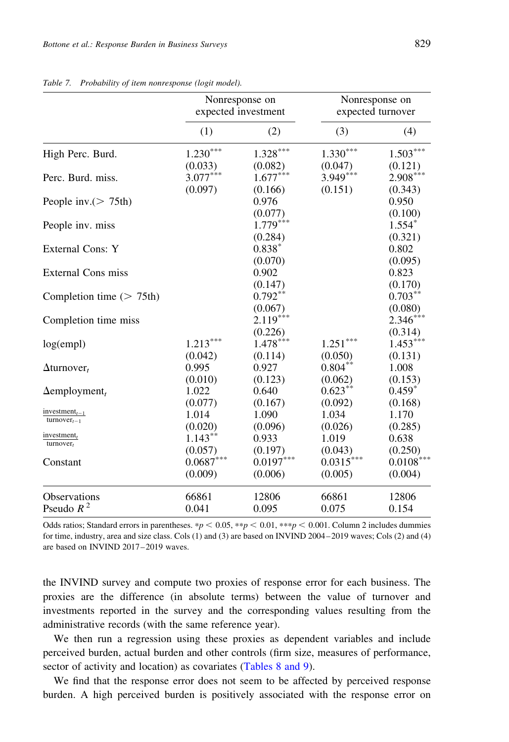|                                        | Nonresponse on<br>expected investment |                       |             | Nonresponse on<br>expected turnover |
|----------------------------------------|---------------------------------------|-----------------------|-------------|-------------------------------------|
|                                        | (1)                                   | (2)                   | (3)         | (4)                                 |
| High Perc. Burd.                       | $1.230***$                            | $1.328***$            | $1.330***$  | $1.503***$                          |
|                                        | (0.033)                               | (0.082)               | (0.047)     | (0.121)                             |
| Perc. Burd. miss.                      | $3.077***$                            | $1.677***$            | 3.949***    | $2.908***$                          |
|                                        | (0.097)                               | (0.166)               | (0.151)     | (0.343)                             |
| People inv. $(> 75th)$                 |                                       | 0.976<br>(0.077)      |             | 0.950<br>(0.100)                    |
| People inv. miss                       |                                       | $1.779***$<br>(0.284) |             | $1.554*$<br>(0.321)                 |
| External Cons: Y                       |                                       | $0.838*$<br>(0.070)   |             | 0.802<br>(0.095)                    |
| External Cons miss                     |                                       | 0.902<br>(0.147)      |             | 0.823<br>(0.170)                    |
| Completion time $($ > 75th)            |                                       | $0.792**$<br>(0.067)  |             | $0.703***$<br>(0.080)               |
| Completion time miss                   |                                       | $2.119***$<br>(0.226) |             | $2.346***$<br>(0.314)               |
| log(empl)                              | $1.213***$                            | $1.478***$            | $1.251***$  | $1.453***$                          |
|                                        | (0.042)                               | (0.114)               | (0.050)     | (0.131)                             |
| $\Delta$ turnover <sub>t</sub>         | 0.995                                 | 0.927                 | $0.804***$  | 1.008                               |
|                                        | (0.010)                               | (0.123)               | (0.062)     | (0.153)                             |
| $\Delta$ employment <sub>t</sub>       | 1.022                                 | 0.640                 | $0.623***$  | $0.459*$                            |
|                                        | (0.077)                               | (0.167)               | (0.092)     | (0.168)                             |
| investment <sub><math>t-1</math></sub> | 1.014                                 | 1.090                 | 1.034       | 1.170                               |
| $turnover_{t-1}$                       | (0.020)                               | (0.096)               | (0.026)     | (0.285)                             |
| investment $t$                         | $1.143***$                            | 0.933                 | 1.019       | 0.638                               |
| $turnover_t$                           | (0.057)                               | (0.197)               | (0.043)     | (0.250)                             |
| Constant                               | $0.0687***$                           | $0.0197***$           | $0.0315***$ | $0.0108***$                         |
|                                        | (0.009)                               | (0.006)               | (0.005)     | (0.004)                             |
| <b>Observations</b>                    | 66861                                 | 12806                 | 66861       | 12806                               |
| Pseudo $R^2$                           | 0.041                                 | 0.095                 | 0.075       | 0.154                               |

<span id="page-18-0"></span>Table 7. Probability of item nonresponse (logit model).

Odds ratios; Standard errors in parentheses. \*p < 0.05, \*\*p < 0.01, \*\*\*p < 0.001. Column 2 includes dummies for time, industry, area and size class. Cols (1) and (3) are based on INVIND 2004–2019 waves; Cols (2) and (4) are based on INVIND 2017–2019 waves.

the INVIND survey and compute two proxies of response error for each business. The proxies are the difference (in absolute terms) between the value of turnover and investments reported in the survey and the corresponding values resulting from the administrative records (with the same reference year).

We then run a regression using these proxies as dependent variables and include perceived burden, actual burden and other controls (firm size, measures of performance, sector of activity and location) as covariates [\(Tables 8 and 9\)](#page-19-0).

We find that the response error does not seem to be affected by perceived response burden. A high perceived burden is positively associated with the response error on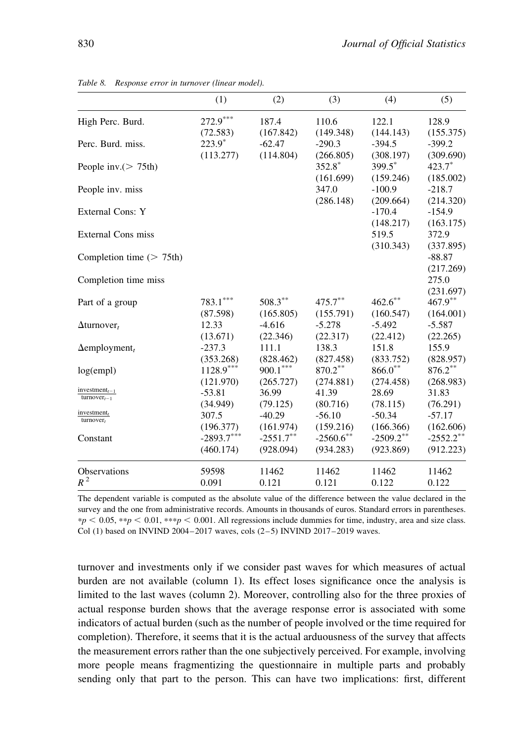|                                   | (1)          | (2)          | (3)          | (4)          | (5)          |
|-----------------------------------|--------------|--------------|--------------|--------------|--------------|
| High Perc. Burd.                  | $272.9***$   | 187.4        | 110.6        | 122.1        | 128.9        |
|                                   | (72.583)     | (167.842)    | (149.348)    | (144.143)    | (155.375)    |
| Perc. Burd. miss.                 | $223.9*$     | $-62.47$     | $-290.3$     | $-394.5$     | $-399.2$     |
|                                   | (113.277)    | (114.804)    | (266.805)    | (308.197)    | (309.690)    |
| People inv. $(> 75th)$            |              |              | 352.8*       | 399.5*       | $423.7*$     |
|                                   |              |              | (161.699)    | (159.246)    | (185.002)    |
| People inv. miss                  |              |              | 347.0        | $-100.9$     | $-218.7$     |
|                                   |              |              | (286.148)    | (209.664)    | (214.320)    |
| External Cons: Y                  |              |              |              | $-170.4$     | $-154.9$     |
|                                   |              |              |              | (148.217)    | (163.175)    |
| <b>External Cons miss</b>         |              |              |              | 519.5        | 372.9        |
|                                   |              |              |              | (310.343)    | (337.895)    |
| Completion time $(> 75th)$        |              |              |              |              | $-88.87$     |
|                                   |              |              |              |              | (217.269)    |
| Completion time miss              |              |              |              |              | 275.0        |
|                                   |              |              |              |              | (231.697)    |
| Part of a group                   | $783.1***$   | $508.3***$   | 475.7**      | $462.6***$   | $467.9***$   |
|                                   | (87.598)     | (165.805)    | (155.791)    | (160.547)    | (164.001)    |
| $\Delta$ turnover,                | 12.33        | $-4.616$     | $-5.278$     | $-5.492$     | $-5.587$     |
|                                   | (13.671)     | (22.346)     | (22.317)     | (22.412)     | (22.265)     |
| $\Delta$ employment <sub>t</sub>  | $-237.3$     | 111.1        | 138.3        | 151.8        | 155.9        |
|                                   | (353.268)    | (828.462)    | (827.458)    | (833.752)    | (828.957)    |
| log(empl)                         | $1128.9***$  | $900.1***$   | 870.2**      | $866.0**$    | $876.2***$   |
|                                   | (121.970)    | (265.727)    | (274.881)    | (274.458)    | (268.983)    |
| $investment_{t-1}$                | $-53.81$     | 36.99        | 41.39        | 28.69        | 31.83        |
| $turnover_{t-1}$                  | (34.949)     | (79.125)     | (80.716)     | (78.115)     | (76.291)     |
| $\frac{investment_t}{turnover_t}$ | 307.5        | $-40.29$     | $-56.10$     | $-50.34$     | $-57.17$     |
|                                   | (196.377)    | (161.974)    | (159.216)    | (166.366)    | (162.606)    |
| Constant                          | $-2893.7***$ | $-2551.7***$ | $-2560.6$ ** | $-2509.2***$ | $-2552.2***$ |
|                                   | (460.174)    | (928.094)    | (934.283)    | (923.869)    | (912.223)    |
| Observations                      | 59598        | 11462        | 11462        | 11462        | 11462        |
| $R^2$                             | 0.091        | 0.121        | 0.121        | 0.122        | 0.122        |

<span id="page-19-0"></span>Table 8. Response error in turnover (linear model).

The dependent variable is computed as the absolute value of the difference between the value declared in the survey and the one from administrative records. Amounts in thousands of euros. Standard errors in parentheses.  $*p < 0.05$ ,  $**p < 0.01$ ,  $***p < 0.001$ . All regressions include dummies for time, industry, area and size class. Col (1) based on INVIND 2004–2017 waves, cols (2–5) INVIND 2017–2019 waves.

turnover and investments only if we consider past waves for which measures of actual burden are not available (column 1). Its effect loses significance once the analysis is limited to the last waves (column 2). Moreover, controlling also for the three proxies of actual response burden shows that the average response error is associated with some indicators of actual burden (such as the number of people involved or the time required for completion). Therefore, it seems that it is the actual arduousness of the survey that affects the measurement errors rather than the one subjectively perceived. For example, involving more people means fragmentizing the questionnaire in multiple parts and probably sending only that part to the person. This can have two implications: first, different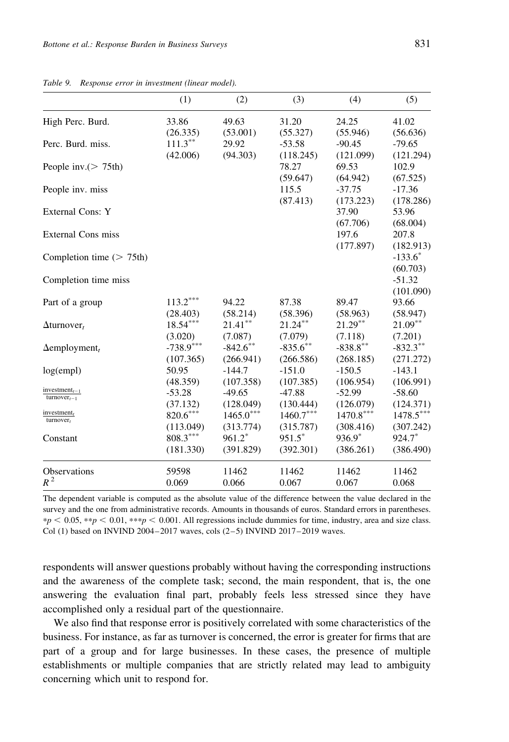|                                         | (1)         | (2)                  | (3)         | (4)         | (5)         |
|-----------------------------------------|-------------|----------------------|-------------|-------------|-------------|
| High Perc. Burd.                        | 33.86       | 49.63                | 31.20       | 24.25       | 41.02       |
|                                         | (26.335)    | (53.001)             | (55.327)    | (55.946)    | (56.636)    |
| Perc. Burd. miss.                       | $111.3***$  | 29.92                | $-53.58$    | $-90.45$    | $-79.65$    |
|                                         | (42.006)    | (94.303)             | (118.245)   | (121.099)   | (121.294)   |
| People inv. $(> 75th)$                  |             |                      | 78.27       | 69.53       | 102.9       |
|                                         |             |                      | (59.647)    | (64.942)    | (67.525)    |
| People inv. miss                        |             |                      | 115.5       | $-37.75$    | $-17.36$    |
|                                         |             |                      | (87.413)    | (173.223)   | (178.286)   |
| External Cons: Y                        |             |                      |             | 37.90       | 53.96       |
|                                         |             |                      |             | (67.706)    | (68.004)    |
| External Cons miss                      |             |                      |             | 197.6       | 207.8       |
|                                         |             |                      |             | (177.897)   | (182.913)   |
| Completion time $($ > 75th)             |             |                      |             |             | $-133.6*$   |
|                                         |             |                      |             |             | (60.703)    |
| Completion time miss                    |             |                      |             |             | $-51.32$    |
|                                         |             |                      |             |             | (101.090)   |
| Part of a group                         | $113.2***$  | 94.22                | 87.38       | 89.47       | 93.66       |
|                                         | (28.403)    | (58.214)             | (58.396)    | (58.963)    | (58.947)    |
| $\Delta$ turnover,                      | $18.54***$  | $21.41***$           | $21.24***$  | $21.29***$  | $21.09***$  |
|                                         | (3.020)     | (7.087)              | (7.079)     | (7.118)     | (7.201)     |
| $\Delta$ employment <sub>t</sub>        | $-738.9***$ | $-842.6$ **          | $-835.6***$ | $-838.8***$ | $-832.3***$ |
|                                         | (107.365)   | (266.941)            | (266.586)   | (268.185)   | (271.272)   |
| log(empl)                               | 50.95       | $-144.7$             | $-151.0$    | $-150.5$    | $-143.1$    |
|                                         | (48.359)    | (107.358)            | (107.385)   | (106.954)   | (106.991)   |
| investment $_{t-1}$<br>$turnover_{t-1}$ | $-53.28$    | $-49.65$             | $-47.88$    | $-52.99$    | $-58.60$    |
|                                         | (37.132)    | (128.049)            | (130.444)   | (126.079)   | (124.371)   |
| investment $t$<br>$turnover_t$          | $820.6***$  | $1465.0***$          | $1460.7***$ | $1470.8***$ | $1478.5***$ |
|                                         | (113.049)   | (313.774)            | (315.787)   | (308.416)   | (307.242)   |
| Constant                                | $808.3***$  | $961.2$ <sup>*</sup> | $951.5^*$   | $936.9*$    | 924.7*      |
|                                         | (181.330)   | (391.829)            | (392.301)   | (386.261)   | (386.490)   |
| <b>Observations</b>                     | 59598       | 11462                | 11462       | 11462       | 11462       |
| $R^2$                                   | 0.069       | 0.066                | 0.067       | 0.067       | 0.068       |
|                                         |             |                      |             |             |             |

Table 9. Response error in investment (linear model).

The dependent variable is computed as the absolute value of the difference between the value declared in the survey and the one from administrative records. Amounts in thousands of euros. Standard errors in parentheses.  $*p < 0.05$ ,  $**p < 0.01$ ,  $***p < 0.001$ . All regressions include dummies for time, industry, area and size class. Col (1) based on INVIND 2004–2017 waves, cols  $(2-5)$  INVIND 2017–2019 waves.

respondents will answer questions probably without having the corresponding instructions and the awareness of the complete task; second, the main respondent, that is, the one answering the evaluation final part, probably feels less stressed since they have accomplished only a residual part of the questionnaire.

We also find that response error is positively correlated with some characteristics of the business. For instance, as far as turnover is concerned, the error is greater for firms that are part of a group and for large businesses. In these cases, the presence of multiple establishments or multiple companies that are strictly related may lead to ambiguity concerning which unit to respond for.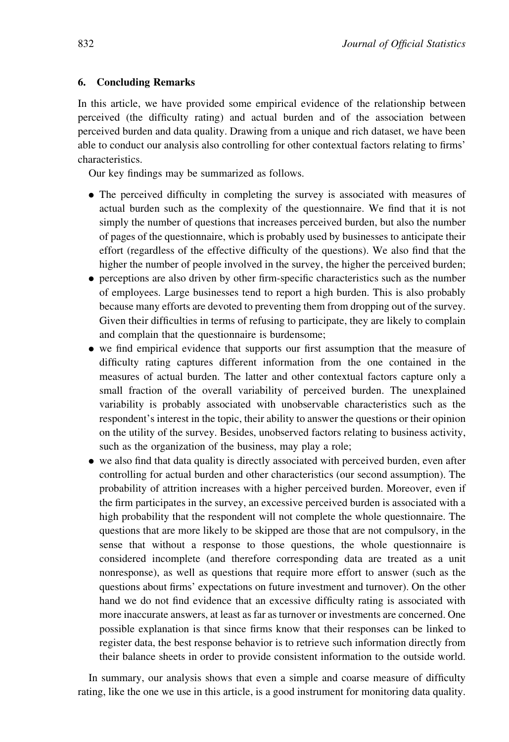## 6. Concluding Remarks

In this article, we have provided some empirical evidence of the relationship between perceived (the difficulty rating) and actual burden and of the association between perceived burden and data quality. Drawing from a unique and rich dataset, we have been able to conduct our analysis also controlling for other contextual factors relating to firms' characteristics.

Our key findings may be summarized as follows.

- . The perceived difficulty in completing the survey is associated with measures of actual burden such as the complexity of the questionnaire. We find that it is not simply the number of questions that increases perceived burden, but also the number of pages of the questionnaire, which is probably used by businesses to anticipate their effort (regardless of the effective difficulty of the questions). We also find that the higher the number of people involved in the survey, the higher the perceived burden;
- . perceptions are also driven by other firm-specific characteristics such as the number of employees. Large businesses tend to report a high burden. This is also probably because many efforts are devoted to preventing them from dropping out of the survey. Given their difficulties in terms of refusing to participate, they are likely to complain and complain that the questionnaire is burdensome;
- . we find empirical evidence that supports our first assumption that the measure of difficulty rating captures different information from the one contained in the measures of actual burden. The latter and other contextual factors capture only a small fraction of the overall variability of perceived burden. The unexplained variability is probably associated with unobservable characteristics such as the respondent's interest in the topic, their ability to answer the questions or their opinion on the utility of the survey. Besides, unobserved factors relating to business activity, such as the organization of the business, may play a role;
- . we also find that data quality is directly associated with perceived burden, even after controlling for actual burden and other characteristics (our second assumption). The probability of attrition increases with a higher perceived burden. Moreover, even if the firm participates in the survey, an excessive perceived burden is associated with a high probability that the respondent will not complete the whole questionnaire. The questions that are more likely to be skipped are those that are not compulsory, in the sense that without a response to those questions, the whole questionnaire is considered incomplete (and therefore corresponding data are treated as a unit nonresponse), as well as questions that require more effort to answer (such as the questions about firms' expectations on future investment and turnover). On the other hand we do not find evidence that an excessive difficulty rating is associated with more inaccurate answers, at least as far as turnover or investments are concerned. One possible explanation is that since firms know that their responses can be linked to register data, the best response behavior is to retrieve such information directly from their balance sheets in order to provide consistent information to the outside world.

In summary, our analysis shows that even a simple and coarse measure of difficulty rating, like the one we use in this article, is a good instrument for monitoring data quality.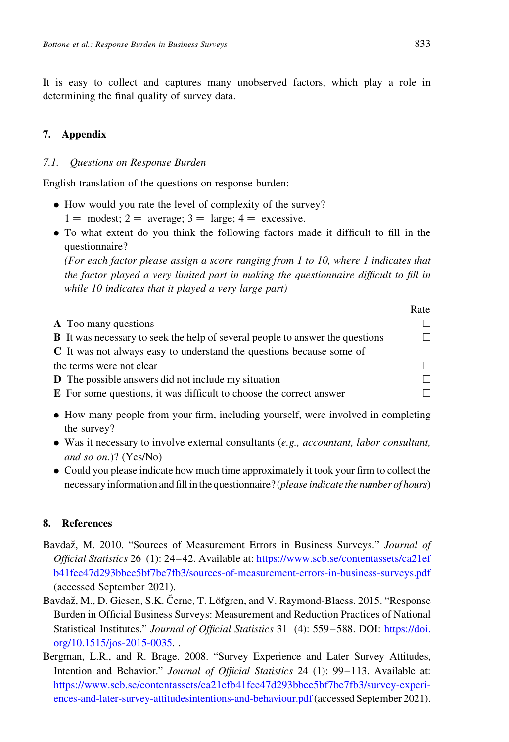<span id="page-22-0"></span>It is easy to collect and captures many unobserved factors, which play a role in determining the final quality of survey data.

# 7. Appendix

## 7.1. Questions on Response Burden

English translation of the questions on response burden:

- . How would you rate the level of complexity of the survey?
	- $1 = \text{ modest}; 2 = \text{average}; 3 = \text{large}; 4 = \text{excessive}.$
- . To what extent do you think the following factors made it difficult to fill in the questionnaire?

(For each factor please assign a score ranging from 1 to 10, where 1 indicates that the factor played a very limited part in making the questionnaire difficult to fill in while 10 indicates that it played a very large part)

|                                                                                      | Rate         |
|--------------------------------------------------------------------------------------|--------------|
| <b>A</b> Too many questions                                                          |              |
| <b>B</b> It was necessary to seek the help of several people to answer the questions | $\mathsf{L}$ |
| C It was not always easy to understand the questions because some of                 |              |
| the terms were not clear                                                             | п            |
| <b>D</b> The possible answers did not include my situation                           | П            |
| E For some questions, it was difficult to choose the correct answer                  | п            |
|                                                                                      |              |

- . How many people from your firm, including yourself, were involved in completing the survey?
- $\bullet$  Was it necessary to involve external consultants (e.g., accountant, labor consultant, and so on.)? (Yes/No)
- . Could you please indicate how much time approximately it took your firm to collect the necessary information and fill in the questionnaire? (please indicate the number of hours)

## 8. References

- Bavdaž, M. 2010. "Sources of Measurement Errors in Business Surveys." Journal of Official Statistics 26 (1): 24–42. Available at: [https://www.scb.se/contentassets/ca21ef](https://www.scb.se/contentassets/ca21efb41fee47d293bbee5bf7be7fb3/sources-of-measurement-errors-in-business-surveys.pdf) [b41fee47d293bbee5bf7be7fb3/sources-of-measurement-errors-in-business-surveys.pdf](https://www.scb.se/contentassets/ca21efb41fee47d293bbee5bf7be7fb3/sources-of-measurement-errors-in-business-surveys.pdf) (accessed September 2021).
- Bavdaž, M., D. Giesen, S.K. Černe, T. Löfgren, and V. Raymond-Blaess. 2015. "Response Burden in Official Business Surveys: Measurement and Reduction Practices of National Statistical Institutes." Journal of Official Statistics 31 (4): 559–588. DOI: [https://doi.](https://doi.org/10.1515/jos-2015-0035) [org/10.1515/jos-2015-0035](https://doi.org/10.1515/jos-2015-0035). .
- Bergman, L.R., and R. Brage. 2008. "Survey Experience and Later Survey Attitudes, Intention and Behavior." Journal of Official Statistics 24 (1): 99–113. Available at: [https://www.scb.se/contentassets/ca21efb41fee47d293bbee5bf7be7fb3/survey-experi](https://www.scb.se/contentassets/ca21efb41fee47d293bbee5bf7be7fb3/survey-experiences-and-later-survey-attitudesintentions-and-behaviour.pdf)[ences-and-later-survey-attitudesintentions-and-behaviour.pdf](https://www.scb.se/contentassets/ca21efb41fee47d293bbee5bf7be7fb3/survey-experiences-and-later-survey-attitudesintentions-and-behaviour.pdf)(accessed September 2021).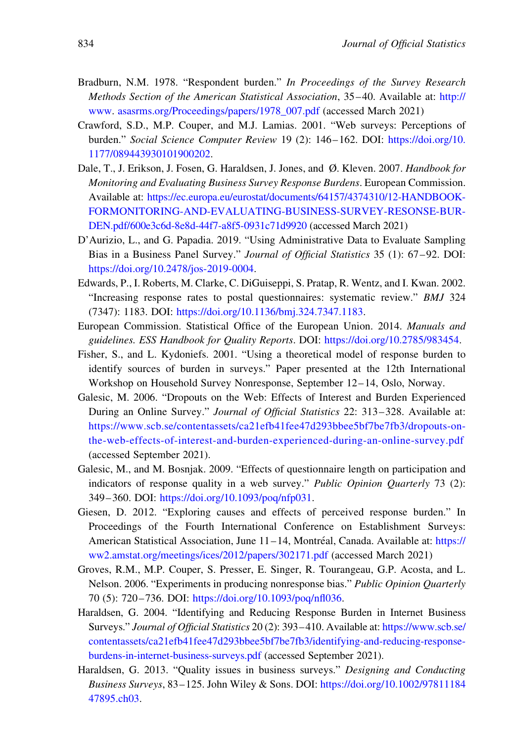- <span id="page-23-0"></span>Bradburn, N.M. 1978. "Respondent burden." In Proceedings of the Survey Research Methods Section of the American Statistical Association, 35–40. Available at: [http://](http://www) [www](http://www). [asasrms.org/Proceedings/papers/1978\\_007.pdf](http://asasrms.org/Proceedings/papers/1978_007.pdf) (accessed March 2021)
- Crawford, S.D., M.P. Couper, and M.J. Lamias. 2001. "Web surveys: Perceptions of burden." Social Science Computer Review 19 (2): 146–162. DOI: [https://doi.org/10.](https://doi.org/10. 1177/089443930101900202) [1177/089443930101900202.](https://doi.org/10. 1177/089443930101900202)
- Dale, T., J. Erikson, J. Fosen, G. Haraldsen, J. Jones, and Ø. Kleven. 2007. Handbook for Monitoring and Evaluating Business Survey Response Burdens. European Commission. Available at: [https://ec.europa.eu/eurostat/documents/64157/4374310/12-HANDBOOK-](https://ec.europa.eu/eurostat/documents/64157/4374310/12-HANDBOOK-FORMONITORING-AND-EVALUATING-BUSINESS-SURVEY-RESONSE-BURDEN.pdf/600e3c6d-8e8d-44f7-a8f5-0931c71d9920)[FORMONITORING-AND-EVALUATING-BUSINESS-SURVEY-RESONSE-BUR-](https://ec.europa.eu/eurostat/documents/64157/4374310/12-HANDBOOK-FORMONITORING-AND-EVALUATING-BUSINESS-SURVEY-RESONSE-BURDEN.pdf/600e3c6d-8e8d-44f7-a8f5-0931c71d9920)[DEN.pdf/600e3c6d-8e8d-44f7-a8f5-0931c71d9920](https://ec.europa.eu/eurostat/documents/64157/4374310/12-HANDBOOK-FORMONITORING-AND-EVALUATING-BUSINESS-SURVEY-RESONSE-BURDEN.pdf/600e3c6d-8e8d-44f7-a8f5-0931c71d9920) (accessed March 2021)
- D'Aurizio, L., and G. Papadia. 2019. "Using Administrative Data to Evaluate Sampling Bias in a Business Panel Survey." Journal of Official Statistics 35 (1): 67–92. DOI: [https://doi.org/10.2478/jos-2019-0004.](https://doi.org/10.2478/jos-2019-0004)
- Edwards, P., I. Roberts, M. Clarke, C. DiGuiseppi, S. Pratap, R. Wentz, and I. Kwan. 2002. "Increasing response rates to postal questionnaires: systematic review." BMJ 324 (7347): 1183. DOI: [https://doi.org/10.1136/bmj.324.7347.1183.](https://doi.org/10.1136/bmj.324.7347.1183)
- European Commission. Statistical Office of the European Union. 2014. Manuals and guidelines. ESS Handbook for Quality Reports. DOI: <https://doi.org/10.2785/983454>.
- Fisher, S., and L. Kydoniefs. 2001. "Using a theoretical model of response burden to identify sources of burden in surveys." Paper presented at the 12th International Workshop on Household Survey Nonresponse, September 12–14, Oslo, Norway.
- Galesic, M. 2006. "Dropouts on the Web: Effects of Interest and Burden Experienced During an Online Survey." Journal of Official Statistics 22: 313–328. Available at: [https://www.scb.se/contentassets/ca21efb41fee47d293bbee5bf7be7fb3/dropouts-on](https://www.scb.se/contentassets/ca21efb41fee47d293bbee5bf7be7fb3/dropouts-on-the-web-effects-of-interest-and-burden-experienced-during-an-online-survey.pdf)[the-web-effects-of-interest-and-burden-experienced-during-an-online-survey.pdf](https://www.scb.se/contentassets/ca21efb41fee47d293bbee5bf7be7fb3/dropouts-on-the-web-effects-of-interest-and-burden-experienced-during-an-online-survey.pdf) (accessed September 2021).
- Galesic, M., and M. Bosnjak. 2009. "Effects of questionnaire length on participation and indicators of response quality in a web survey." Public Opinion Quarterly 73 (2): 349–360. DOI: <https://doi.org/10.1093/poq/nfp031>.
- Giesen, D. 2012. "Exploring causes and effects of perceived response burden." In Proceedings of the Fourth International Conference on Establishment Surveys: American Statistical Association, June 11-14, Montréal, Canada. Available at: [https://](https://ww2.amstat.org/meetings/ices/2012/papers/302171.pdf) [ww2.amstat.org/meetings/ices/2012/papers/302171.pdf](https://ww2.amstat.org/meetings/ices/2012/papers/302171.pdf) (accessed March 2021)
- Groves, R.M., M.P. Couper, S. Presser, E. Singer, R. Tourangeau, G.P. Acosta, and L. Nelson. 2006. "Experiments in producing nonresponse bias." Public Opinion Quarterly 70 (5): 720–736. DOI: [https://doi.org/10.1093/poq/nfl036.](https://doi.org/10.1093/poq/nfl036)
- Haraldsen, G. 2004. "Identifying and Reducing Response Burden in Internet Business Surveys." Journal of Official Statistics 20 (2): 393–410. Available at: [https://www.scb.se/](https://www.scb.se/contentassets/ca21efb41fee47d293bbee5bf7be7fb3/identifying-and-reducing-response-burdens-in-internet-business-surveys.pdf) [contentassets/ca21efb41fee47d293bbee5bf7be7fb3/identifying-and-reducing-response](https://www.scb.se/contentassets/ca21efb41fee47d293bbee5bf7be7fb3/identifying-and-reducing-response-burdens-in-internet-business-surveys.pdf)[burdens-in-internet-business-surveys.pdf](https://www.scb.se/contentassets/ca21efb41fee47d293bbee5bf7be7fb3/identifying-and-reducing-response-burdens-in-internet-business-surveys.pdf) (accessed September 2021).
- Haraldsen, G. 2013. "Quality issues in business surveys." Designing and Conducting Business Surveys, 83–125. John Wiley & Sons. DOI: [https://doi.org/10.1002/97811184](https://doi.org/10.1002/9781118447895.ch03) [47895.ch03.](https://doi.org/10.1002/9781118447895.ch03)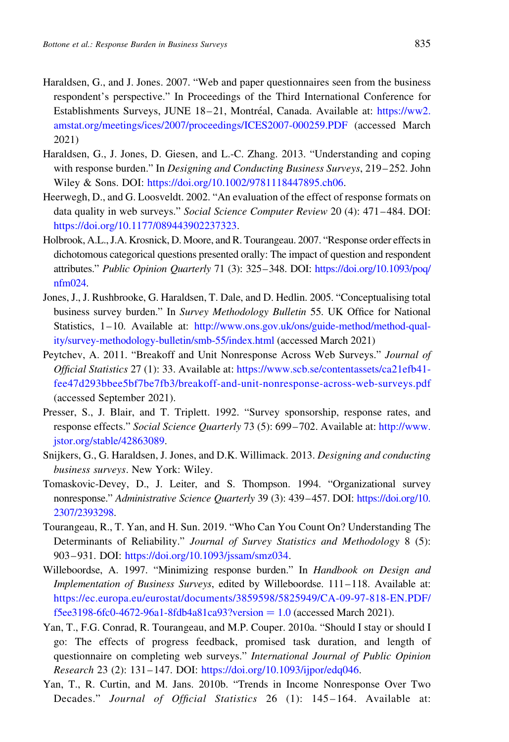- <span id="page-24-0"></span>Haraldsen, G., and J. Jones. 2007. "Web and paper questionnaires seen from the business respondent's perspective." In Proceedings of the Third International Conference for Establishments Surveys, JUNE 18-21, Montréal, Canada. Available at: [https://ww2.](https://ww2.amstat.org/meetings/ices/2007/proceedings/ICES2007-000259.PDF) [amstat.org/meetings/ices/2007/proceedings/ICES2007-000259.PDF](https://ww2.amstat.org/meetings/ices/2007/proceedings/ICES2007-000259.PDF) (accessed March 2021)
- Haraldsen, G., J. Jones, D. Giesen, and L.-C. Zhang. 2013. "Understanding and coping with response burden." In *Designing and Conducting Business Surveys*, 219–252. John Wiley & Sons. DOI: [https://doi.org/10.1002/9781118447895.ch06.](https://doi.org/10.1002/9781118447895.ch06)
- Heerwegh, D., and G. Loosveldt. 2002. "An evaluation of the effect of response formats on data quality in web surveys." Social Science Computer Review 20 (4): 471–484. DOI: <https://doi.org/10.1177/089443902237323>.
- Holbrook, A.L., J.A. Krosnick, D. Moore, and R. Tourangeau. 2007. "Response order effects in dichotomous categorical questions presented orally: The impact of question and respondent attributes." Public Opinion Quarterly 71 (3): 325–348. DOI: [https://doi.org/10.1093/poq/](https://doi.org/10.1093/poq/nfm024) [nfm024.](https://doi.org/10.1093/poq/nfm024)
- Jones, J., J. Rushbrooke, G. Haraldsen, T. Dale, and D. Hedlin. 2005. "Conceptualising total business survey burden." In Survey Methodology Bulletin 55. UK Office for National Statistics, 1–10. Available at: [http://www.ons.gov.uk/ons/guide-method/method-qual](http://www.ons.gov.uk/ons/guide-method/method-quality/survey-methodology-bulletin/smb-55/index.html)[ity/survey-methodology-bulletin/smb-55/index.html](http://www.ons.gov.uk/ons/guide-method/method-quality/survey-methodology-bulletin/smb-55/index.html) (accessed March 2021)
- Peytchev, A. 2011. "Breakoff and Unit Nonresponse Across Web Surveys." Journal of Official Statistics 27 (1): 33. Available at: [https://www.scb.se/contentassets/ca21efb41](https://www.scb.se/contentassets/ca21efb41fee47d293bbee5bf7be7fb3/breakoff-and-unit-nonresponse-across-web-surveys.pdf) [fee47d293bbee5bf7be7fb3/breakoff-and-unit-nonresponse-across-web-surveys.pdf](https://www.scb.se/contentassets/ca21efb41fee47d293bbee5bf7be7fb3/breakoff-and-unit-nonresponse-across-web-surveys.pdf) (accessed September 2021).
- Presser, S., J. Blair, and T. Triplett. 1992. "Survey sponsorship, response rates, and response effects." Social Science Quarterly 73 (5): 699–702. Available at: [http://www.](http://www.jstor.org/stable/42863089) [jstor.org/stable/42863089](http://www.jstor.org/stable/42863089).
- Snijkers, G., G. Haraldsen, J. Jones, and D.K. Willimack. 2013. Designing and conducting business surveys. New York: Wiley.
- Tomaskovic-Devey, D., J. Leiter, and S. Thompson. 1994. "Organizational survey nonresponse." Administrative Science Quarterly 39 (3): 439–457. DOI: [https://doi.org/10.](https://doi.org/10.2307/2393298) [2307/2393298](https://doi.org/10.2307/2393298).
- Tourangeau, R., T. Yan, and H. Sun. 2019. "Who Can You Count On? Understanding The Determinants of Reliability." Journal of Survey Statistics and Methodology 8 (5): 903–931. DOI: [https://doi.org/10.1093/jssam/smz034.](https://doi.org/10.1093/jssam/smz034)
- Willeboordse, A. 1997. "Minimizing response burden." In Handbook on Design and Implementation of Business Surveys, edited by Willeboordse. 111–118. Available at: [https://ec.europa.eu/eurostat/documents/3859598/5825949/CA-09-97-818-EN.PDF/](https://ec.europa.eu/eurostat/documents/3859598/5825949/CA-09-97-818-EN.PDF/f5ee3198-6fc0-4672-96a1-8fdb4a81ca93?version=1.0) [f5ee3198-6fc0-4672-96a1-8fdb4a81ca93?version](https://ec.europa.eu/eurostat/documents/3859598/5825949/CA-09-97-818-EN.PDF/f5ee3198-6fc0-4672-96a1-8fdb4a81ca93?version=1.0) =  $1.0$  (accessed March 2021).
- Yan, T., F.G. Conrad, R. Tourangeau, and M.P. Couper. 2010a. "Should I stay or should I go: The effects of progress feedback, promised task duration, and length of questionnaire on completing web surveys." International Journal of Public Opinion Research 23 (2): 131–147. DOI: [https://doi.org/10.1093/ijpor/edq046.](https://doi.org/10.1093/ijpor/edq046)
- Yan, T., R. Curtin, and M. Jans. 2010b. "Trends in Income Nonresponse Over Two Decades." Journal of Official Statistics 26 (1): 145–164. Available at: